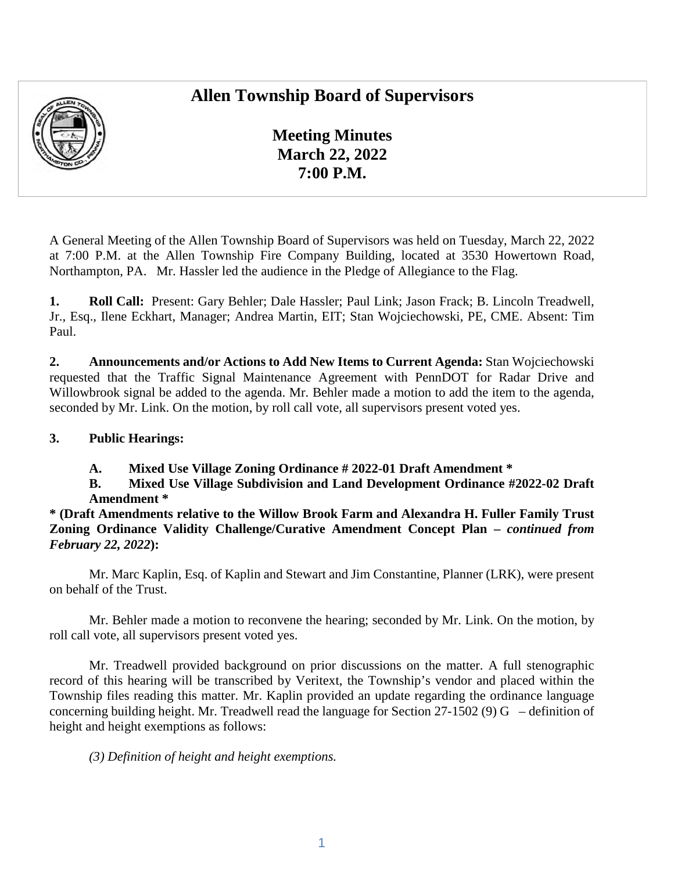## **Allen Township Board of Supervisors**



**Meeting Minutes March 22, 2022 7:00 P.M.** 

A General Meeting of the Allen Township Board of Supervisors was held on Tuesday, March 22, 2022 at 7:00 P.M. at the Allen Township Fire Company Building, located at 3530 Howertown Road, Northampton, PA. Mr. Hassler led the audience in the Pledge of Allegiance to the Flag.

**1. Roll Call:** Present: Gary Behler; Dale Hassler; Paul Link; Jason Frack; B. Lincoln Treadwell, Jr., Esq., Ilene Eckhart, Manager; Andrea Martin, EIT; Stan Wojciechowski, PE, CME. Absent: Tim Paul.

**2. Announcements and/or Actions to Add New Items to Current Agenda:** Stan Wojciechowski requested that the Traffic Signal Maintenance Agreement with PennDOT for Radar Drive and Willowbrook signal be added to the agenda. Mr. Behler made a motion to add the item to the agenda, seconded by Mr. Link. On the motion, by roll call vote, all supervisors present voted yes.

#### **3. Public Hearings:**

**A. Mixed Use Village Zoning Ordinance # 2022-01 Draft Amendment \*** 

**B. Mixed Use Village Subdivision and Land Development Ordinance #2022-02 Draft Amendment \*** 

**\* (Draft Amendments relative to the Willow Brook Farm and Alexandra H. Fuller Family Trust Zoning Ordinance Validity Challenge/Curative Amendment Concept Plan –** *continued from February 22, 2022***):** 

Mr. Marc Kaplin, Esq. of Kaplin and Stewart and Jim Constantine, Planner (LRK), were present on behalf of the Trust.

Mr. Behler made a motion to reconvene the hearing; seconded by Mr. Link. On the motion, by roll call vote, all supervisors present voted yes.

Mr. Treadwell provided background on prior discussions on the matter. A full stenographic record of this hearing will be transcribed by Veritext, the Township's vendor and placed within the Township files reading this matter. Mr. Kaplin provided an update regarding the ordinance language concerning building height. Mr. Treadwell read the language for Section 27-1502 (9) G – definition of height and height exemptions as follows:

*(3) Definition of height and height exemptions.*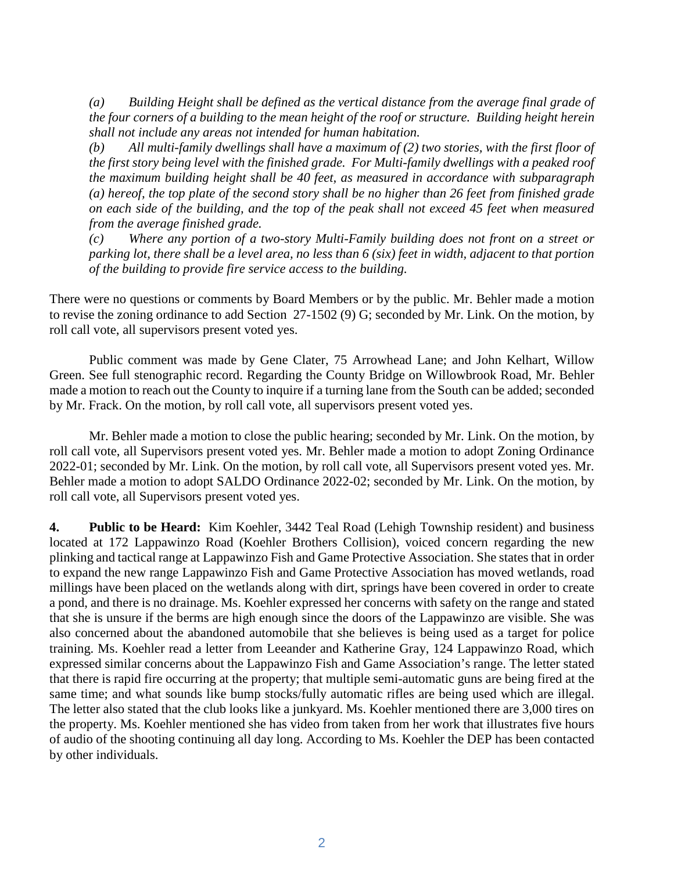*(a) Building Height shall be defined as the vertical distance from the average final grade of the four corners of a building to the mean height of the roof or structure. Building height herein shall not include any areas not intended for human habitation.* 

*(b) All multi-family dwellings shall have a maximum of (2) two stories, with the first floor of the first story being level with the finished grade. For Multi-family dwellings with a peaked roof the maximum building height shall be 40 feet, as measured in accordance with subparagraph (a) hereof, the top plate of the second story shall be no higher than 26 feet from finished grade on each side of the building, and the top of the peak shall not exceed 45 feet when measured from the average finished grade.* 

*(c) Where any portion of a two-story Multi-Family building does not front on a street or parking lot, there shall be a level area, no less than 6 (six) feet in width, adjacent to that portion of the building to provide fire service access to the building.* 

There were no questions or comments by Board Members or by the public. Mr. Behler made a motion to revise the zoning ordinance to add Section 27-1502 (9) G; seconded by Mr. Link. On the motion, by roll call vote, all supervisors present voted yes.

Public comment was made by Gene Clater, 75 Arrowhead Lane; and John Kelhart, Willow Green. See full stenographic record. Regarding the County Bridge on Willowbrook Road, Mr. Behler made a motion to reach out the County to inquire if a turning lane from the South can be added; seconded by Mr. Frack. On the motion, by roll call vote, all supervisors present voted yes.

Mr. Behler made a motion to close the public hearing; seconded by Mr. Link. On the motion, by roll call vote, all Supervisors present voted yes. Mr. Behler made a motion to adopt Zoning Ordinance 2022-01; seconded by Mr. Link. On the motion, by roll call vote, all Supervisors present voted yes. Mr. Behler made a motion to adopt SALDO Ordinance 2022-02; seconded by Mr. Link. On the motion, by roll call vote, all Supervisors present voted yes.

**4. Public to be Heard:** Kim Koehler, 3442 Teal Road (Lehigh Township resident) and business located at 172 Lappawinzo Road (Koehler Brothers Collision), voiced concern regarding the new plinking and tactical range at Lappawinzo Fish and Game Protective Association. She states that in order to expand the new range Lappawinzo Fish and Game Protective Association has moved wetlands, road millings have been placed on the wetlands along with dirt, springs have been covered in order to create a pond, and there is no drainage. Ms. Koehler expressed her concerns with safety on the range and stated that she is unsure if the berms are high enough since the doors of the Lappawinzo are visible. She was also concerned about the abandoned automobile that she believes is being used as a target for police training. Ms. Koehler read a letter from Leeander and Katherine Gray, 124 Lappawinzo Road, which expressed similar concerns about the Lappawinzo Fish and Game Association's range. The letter stated that there is rapid fire occurring at the property; that multiple semi-automatic guns are being fired at the same time; and what sounds like bump stocks/fully automatic rifles are being used which are illegal. The letter also stated that the club looks like a junkyard. Ms. Koehler mentioned there are 3,000 tires on the property. Ms. Koehler mentioned she has video from taken from her work that illustrates five hours of audio of the shooting continuing all day long. According to Ms. Koehler the DEP has been contacted by other individuals.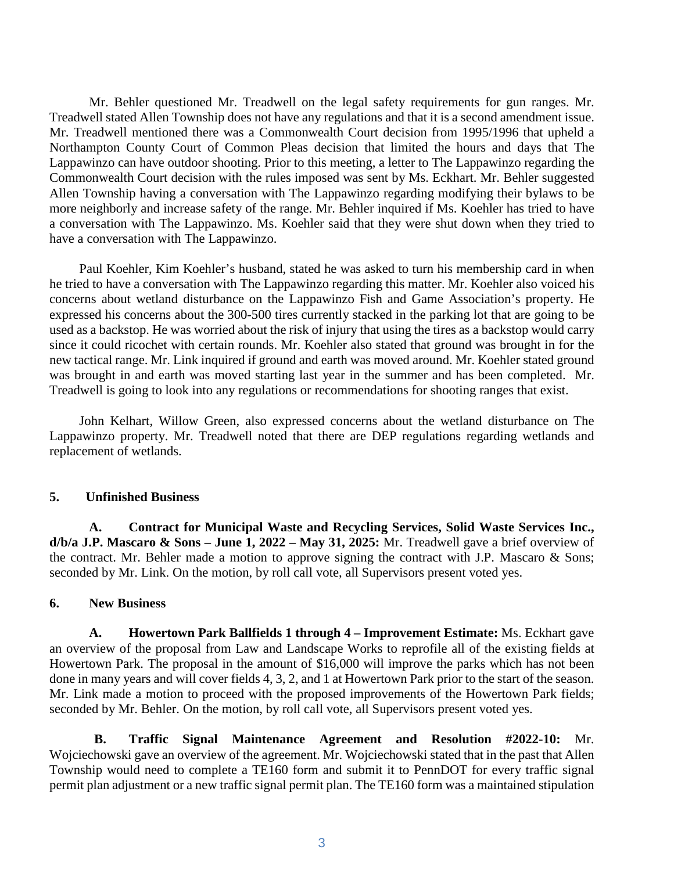Mr. Behler questioned Mr. Treadwell on the legal safety requirements for gun ranges. Mr. Treadwell stated Allen Township does not have any regulations and that it is a second amendment issue. Mr. Treadwell mentioned there was a Commonwealth Court decision from 1995/1996 that upheld a Northampton County Court of Common Pleas decision that limited the hours and days that The Lappawinzo can have outdoor shooting. Prior to this meeting, a letter to The Lappawinzo regarding the Commonwealth Court decision with the rules imposed was sent by Ms. Eckhart. Mr. Behler suggested Allen Township having a conversation with The Lappawinzo regarding modifying their bylaws to be more neighborly and increase safety of the range. Mr. Behler inquired if Ms. Koehler has tried to have a conversation with The Lappawinzo. Ms. Koehler said that they were shut down when they tried to have a conversation with The Lappawinzo.

Paul Koehler, Kim Koehler's husband, stated he was asked to turn his membership card in when he tried to have a conversation with The Lappawinzo regarding this matter. Mr. Koehler also voiced his concerns about wetland disturbance on the Lappawinzo Fish and Game Association's property. He expressed his concerns about the 300-500 tires currently stacked in the parking lot that are going to be used as a backstop. He was worried about the risk of injury that using the tires as a backstop would carry since it could ricochet with certain rounds. Mr. Koehler also stated that ground was brought in for the new tactical range. Mr. Link inquired if ground and earth was moved around. Mr. Koehler stated ground was brought in and earth was moved starting last year in the summer and has been completed. Mr. Treadwell is going to look into any regulations or recommendations for shooting ranges that exist.

John Kelhart, Willow Green, also expressed concerns about the wetland disturbance on The Lappawinzo property. Mr. Treadwell noted that there are DEP regulations regarding wetlands and replacement of wetlands.

#### **5. Unfinished Business**

**A. Contract for Municipal Waste and Recycling Services, Solid Waste Services Inc., d/b/a J.P. Mascaro & Sons – June 1, 2022 – May 31, 2025:** Mr. Treadwell gave a brief overview of the contract. Mr. Behler made a motion to approve signing the contract with J.P. Mascaro  $\&$  Sons; seconded by Mr. Link. On the motion, by roll call vote, all Supervisors present voted yes.

#### **6. New Business**

**A. Howertown Park Ballfields 1 through 4 – Improvement Estimate:** Ms. Eckhart gave an overview of the proposal from Law and Landscape Works to reprofile all of the existing fields at Howertown Park. The proposal in the amount of \$16,000 will improve the parks which has not been done in many years and will cover fields 4, 3, 2, and 1 at Howertown Park prior to the start of the season. Mr. Link made a motion to proceed with the proposed improvements of the Howertown Park fields; seconded by Mr. Behler. On the motion, by roll call vote, all Supervisors present voted yes.

**B. Traffic Signal Maintenance Agreement and Resolution #2022-10:** Mr. Wojciechowski gave an overview of the agreement. Mr. Wojciechowski stated that in the past that Allen Township would need to complete a TE160 form and submit it to PennDOT for every traffic signal permit plan adjustment or a new traffic signal permit plan. The TE160 form was a maintained stipulation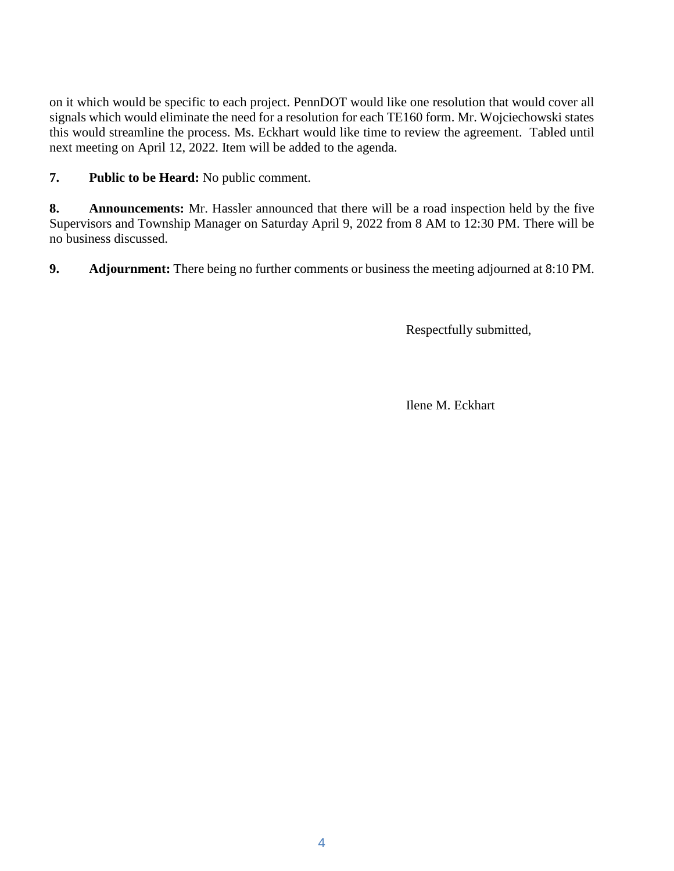on it which would be specific to each project. PennDOT would like one resolution that would cover all signals which would eliminate the need for a resolution for each TE160 form. Mr. Wojciechowski states this would streamline the process. Ms. Eckhart would like time to review the agreement. Tabled until next meeting on April 12, 2022. Item will be added to the agenda.

**7. Public to be Heard:** No public comment.

**8. Announcements:** Mr. Hassler announced that there will be a road inspection held by the five Supervisors and Township Manager on Saturday April 9, 2022 from 8 AM to 12:30 PM. There will be no business discussed.

**9. Adjournment:** There being no further comments or business the meeting adjourned at 8:10 PM.

Respectfully submitted,

Ilene M. Eckhart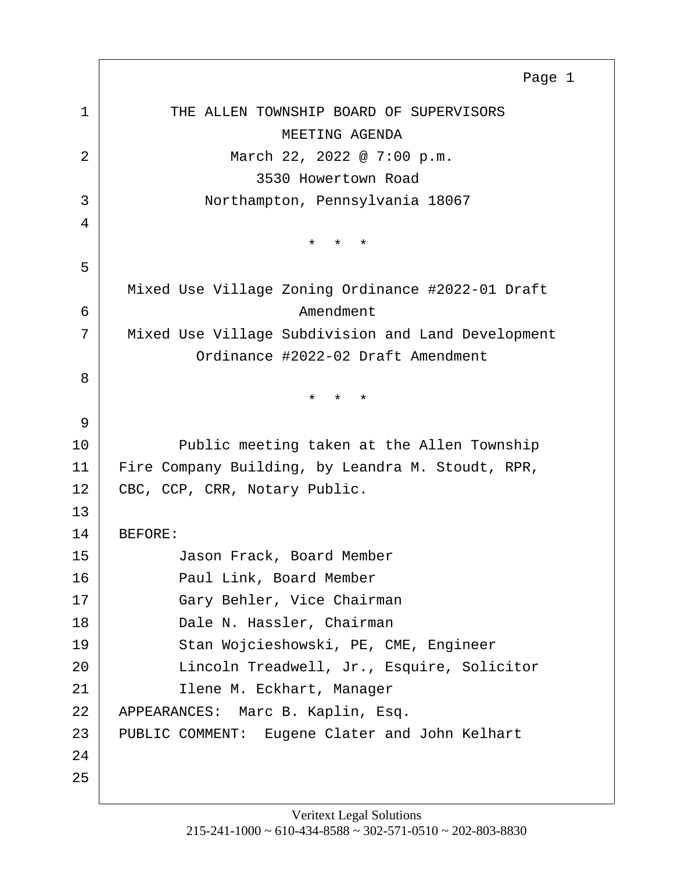<span id="page-4-0"></span>

|    | Page 1                                             |
|----|----------------------------------------------------|
| 1  | THE ALLEN TOWNSHIP BOARD OF SUPERVISORS            |
|    | MEETING AGENDA                                     |
| 2  | March 22, 2022 @ 7:00 p.m.                         |
|    | 3530 Howertown Road                                |
| 3  | Northampton, Pennsylvania 18067                    |
| 4  |                                                    |
|    | $\star$<br>$\star$<br>$\star$                      |
| 5  |                                                    |
|    | Mixed Use Village Zoning Ordinance #2022-01 Draft  |
| 6  | Amendment                                          |
| 7  | Mixed Use Village Subdivision and Land Development |
|    | Ordinance #2022-02 Draft Amendment                 |
| 8  |                                                    |
|    | $\star$<br>$\star$<br>$\star$                      |
| 9  |                                                    |
| 10 | Public meeting taken at the Allen Township         |
| 11 | Fire Company Building, by Leandra M. Stoudt, RPR,  |
| 12 | CBC, CCP, CRR, Notary Public.                      |
| 13 |                                                    |
| 14 | BEFORE:                                            |
| 15 | Jason Frack, Board Member                          |
| 16 | Paul Link, Board Member                            |
| 17 | Gary Behler, Vice Chairman                         |
| 18 | Dale N. Hassler, Chairman                          |
| 19 | Stan Wojcieshowski, PE, CME, Engineer              |
| 20 | Lincoln Treadwell, Jr., Esquire, Solicitor         |
| 21 | Ilene M. Eckhart, Manager                          |
| 22 | APPEARANCES: Marc B. Kaplin, Esq.                  |
| 23 | PUBLIC COMMENT: Eugene Clater and John Kelhart     |
| 24 |                                                    |
| 25 |                                                    |

Г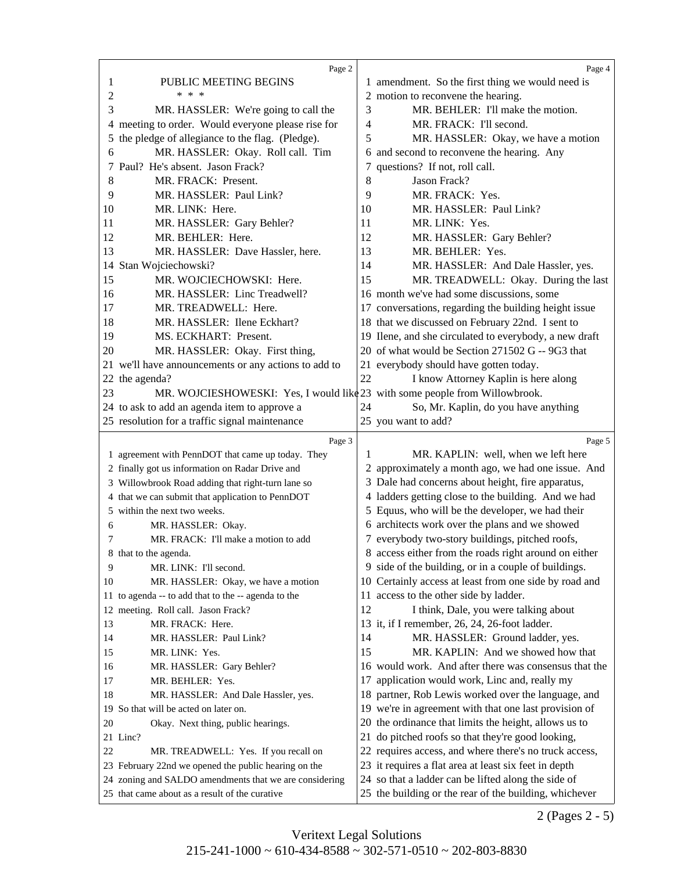<span id="page-5-0"></span>

|     | Page 2                                                                                                         |                | Page 4                                                                                                       |
|-----|----------------------------------------------------------------------------------------------------------------|----------------|--------------------------------------------------------------------------------------------------------------|
| 1   | PUBLIC MEETING BEGINS                                                                                          |                | 1 amendment. So the first thing we would need is                                                             |
| 2   | * * *                                                                                                          |                | 2 motion to reconvene the hearing.                                                                           |
| 3   | MR. HASSLER: We're going to call the                                                                           | 3              | MR. BEHLER: I'll make the motion.                                                                            |
| 4   | meeting to order. Would everyone please rise for                                                               | $\overline{4}$ | MR. FRACK: I'll second.                                                                                      |
| 5   | the pledge of allegiance to the flag. (Pledge).                                                                | 5              | MR. HASSLER: Okay, we have a motion                                                                          |
| 6   | MR. HASSLER: Okay. Roll call. Tim                                                                              |                | 6 and second to reconvene the hearing. Any                                                                   |
| 7   | Paul? He's absent. Jason Frack?                                                                                |                | 7 questions? If not, roll call.                                                                              |
| 8   | MR. FRACK: Present.                                                                                            | 8              | Jason Frack?                                                                                                 |
| 9   | MR. HASSLER: Paul Link?                                                                                        | 9              | MR. FRACK: Yes.                                                                                              |
| 10  | MR. LINK: Here.                                                                                                | 10             | MR. HASSLER: Paul Link?                                                                                      |
| 11  | MR. HASSLER: Gary Behler?                                                                                      | 11             | MR. LINK: Yes.                                                                                               |
| 12  | MR. BEHLER: Here.                                                                                              | 12             | MR. HASSLER: Gary Behler?                                                                                    |
| 13  |                                                                                                                | 13             | MR. BEHLER: Yes.                                                                                             |
|     | MR. HASSLER: Dave Hassler, here.                                                                               | 14             |                                                                                                              |
| 14  | Stan Wojciechowski?                                                                                            |                | MR. HASSLER: And Dale Hassler, yes.                                                                          |
| 15  | MR. WOJCIECHOWSKI: Here.                                                                                       | 15             | MR. TREADWELL: Okay. During the last                                                                         |
| 16  | MR. HASSLER: Linc Treadwell?                                                                                   |                | 16 month we've had some discussions, some                                                                    |
| 17  | MR. TREADWELL: Here.                                                                                           |                | 17 conversations, regarding the building height issue                                                        |
| 18  | MR. HASSLER: Ilene Eckhart?                                                                                    |                | 18 that we discussed on February 22nd. I sent to                                                             |
| 19  | MS. ECKHART: Present.                                                                                          |                | 19 Ilene, and she circulated to everybody, a new draft                                                       |
| 20  | MR. HASSLER: Okay. First thing,                                                                                |                | 20 of what would be Section 271502 G -- 9G3 that                                                             |
| 21. | we'll have announcements or any actions to add to                                                              |                | 21 everybody should have gotten today.                                                                       |
|     | 22 the agenda?                                                                                                 | 22             | I know Attorney Kaplin is here along                                                                         |
| 23  | MR. WOJCIESHOWESKI: Yes, I would like 23 with some people from Willowbrook.                                    |                |                                                                                                              |
|     | 24 to ask to add an agenda item to approve a                                                                   | 24             | So, Mr. Kaplin, do you have anything                                                                         |
|     | 25 resolution for a traffic signal maintenance                                                                 |                | 25 you want to add?                                                                                          |
|     |                                                                                                                |                |                                                                                                              |
|     | Page 3                                                                                                         |                | Page 5                                                                                                       |
|     | 1 agreement with PennDOT that came up today. They                                                              | 1              | MR. KAPLIN: well, when we left here                                                                          |
|     | 2 finally got us information on Radar Drive and                                                                |                | 2 approximately a month ago, we had one issue. And                                                           |
|     | 3 Willowbrook Road adding that right-turn lane so                                                              |                | 3 Dale had concerns about height, fire apparatus,                                                            |
|     | 4 that we can submit that application to PennDOT                                                               |                | 4 ladders getting close to the building. And we had                                                          |
|     | 5 within the next two weeks.                                                                                   |                | 5 Equus, who will be the developer, we had their                                                             |
| 6   | MR. HASSLER: Okay.                                                                                             |                | 6 architects work over the plans and we showed                                                               |
| 7   | MR. FRACK: I'll make a motion to add                                                                           |                | 7 everybody two-story buildings, pitched roofs,                                                              |
|     | 8 that to the agenda.                                                                                          |                | 8 access either from the roads right around on either                                                        |
| 9   | MR. LINK: I'll second.                                                                                         |                | 9 side of the building, or in a couple of buildings.                                                         |
| 10  | MR. HASSLER: Okay, we have a motion                                                                            |                | 10 Certainly access at least from one side by road and                                                       |
|     | 11 to agenda -- to add that to the -- agenda to the                                                            |                | 11 access to the other side by ladder.                                                                       |
|     | 12 meeting. Roll call. Jason Frack?                                                                            | 12             | I think, Dale, you were talking about                                                                        |
| 13  | MR. FRACK: Here.                                                                                               |                | 13 it, if I remember, 26, 24, 26-foot ladder.                                                                |
| 14  | MR. HASSLER: Paul Link?                                                                                        | 14             | MR. HASSLER: Ground ladder, yes.                                                                             |
| 15  | MR. LINK: Yes.                                                                                                 | 15             | MR. KAPLIN: And we showed how that                                                                           |
| 16  |                                                                                                                |                | 16 would work. And after there was consensus that the                                                        |
| 17  | MR. HASSLER: Gary Behler?<br>MR. BEHLER: Yes.                                                                  | 17             | application would work, Linc and, really my                                                                  |
| 18  |                                                                                                                |                | 18 partner, Rob Lewis worked over the language, and                                                          |
|     | MR. HASSLER: And Dale Hassler, yes.<br>19 So that will be acted on later on.                                   |                |                                                                                                              |
| 20  |                                                                                                                |                | 19 we're in agreement with that one last provision of                                                        |
|     | Okay. Next thing, public hearings.<br>21 Linc?                                                                 |                | 20 the ordinance that limits the height, allows us to                                                        |
| 22  |                                                                                                                |                | 21 do pitched roofs so that they're good looking,                                                            |
|     | MR. TREADWELL: Yes. If you recall on                                                                           |                | 22 requires access, and where there's no truck access,                                                       |
|     | 23 February 22nd we opened the public hearing on the<br>24 zoning and SALDO amendments that we are considering |                | 23 it requires a flat area at least six feet in depth<br>24 so that a ladder can be lifted along the side of |

2 (Pages 2 - 5)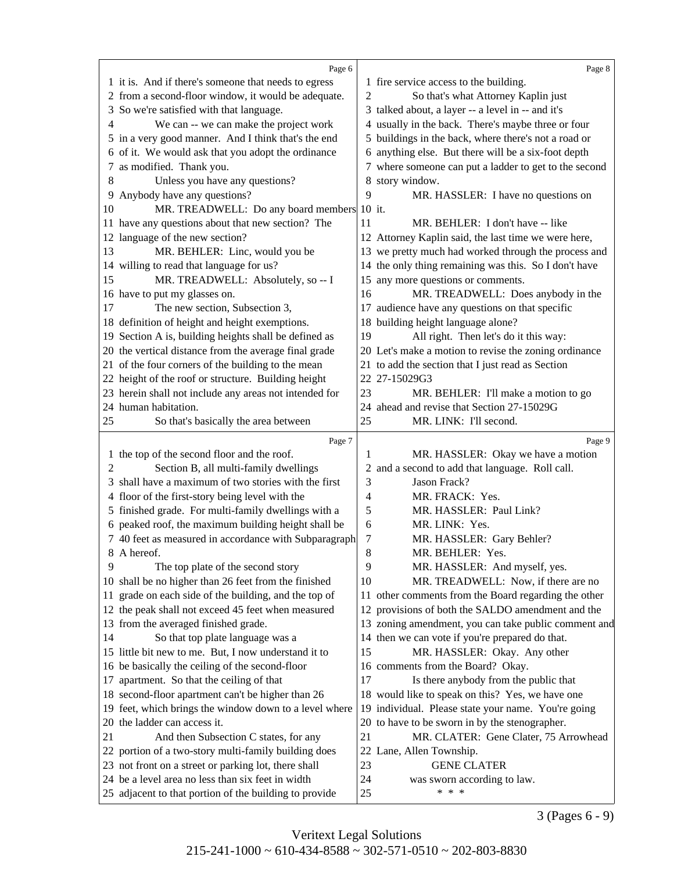<span id="page-6-0"></span>

|    | Page 6                                                 |                | Page 8                                                |
|----|--------------------------------------------------------|----------------|-------------------------------------------------------|
|    | 1 it is. And if there's someone that needs to egress   |                | 1 fire service access to the building.                |
|    | 2 from a second-floor window, it would be adequate.    | 2              | So that's what Attorney Kaplin just                   |
| 3  | So we're satisfied with that language.                 |                | 3 talked about, a layer -- a level in -- and it's     |
| 4  | We can -- we can make the project work                 |                | 4 usually in the back. There's maybe three or four    |
|    | 5 in a very good manner. And I think that's the end    |                | 5 buildings in the back, where there's not a road or  |
|    | 6 of it. We would ask that you adopt the ordinance     |                | 6 anything else. But there will be a six-foot depth   |
| 7  | as modified. Thank you.                                |                | 7 where someone can put a ladder to get to the second |
| 8  | Unless you have any questions?                         |                | 8 story window.                                       |
| 9  | Anybody have any questions?                            | 9              | MR. HASSLER: I have no questions on                   |
| 10 | MR. TREADWELL: Do any board members 10 it.             |                |                                                       |
|    | 11 have any questions about that new section? The      | 11             | MR. BEHLER: I don't have -- like                      |
|    | 12 language of the new section?                        |                | 12 Attorney Kaplin said, the last time we were here,  |
| 13 | MR. BEHLER: Linc, would you be                         |                | 13 we pretty much had worked through the process and  |
|    | 14 willing to read that language for us?               |                | 14 the only thing remaining was this. So I don't have |
| 15 | MR. TREADWELL: Absolutely, so -- I                     |                | 15 any more questions or comments.                    |
|    | 16 have to put my glasses on.                          | 16             | MR. TREADWELL: Does anybody in the                    |
| 17 | The new section, Subsection 3,                         |                | 17 audience have any questions on that specific       |
|    | 18 definition of height and height exemptions.         |                | 18 building height language alone?                    |
|    | 19 Section A is, building heights shall be defined as  | 19             | All right. Then let's do it this way:                 |
|    | 20 the vertical distance from the average final grade  |                | 20 Let's make a motion to revise the zoning ordinance |
|    | 21 of the four corners of the building to the mean     |                | 21 to add the section that I just read as Section     |
|    | 22 height of the roof or structure. Building height    |                | 22 27-15029G3                                         |
|    | 23 herein shall not include any areas not intended for | 23             | MR. BEHLER: I'll make a motion to go                  |
|    | 24 human habitation.                                   |                | 24 ahead and revise that Section 27-15029G            |
| 25 | So that's basically the area between                   | 25             | MR. LINK: I'll second.                                |
|    |                                                        |                |                                                       |
|    | Page 7                                                 |                | Page 9                                                |
| 1  | the top of the second floor and the roof.              | 1              | MR. HASSLER: Okay we have a motion                    |
| 2  | Section B, all multi-family dwellings                  |                | 2 and a second to add that language. Roll call.       |
| 3  | shall have a maximum of two stories with the first     | 3              | Jason Frack?                                          |
| 4  | floor of the first-story being level with the          | $\overline{4}$ | MR. FRACK: Yes.                                       |
|    | 5 finished grade. For multi-family dwellings with a    | 5              | MR. HASSLER: Paul Link?                               |
|    | 6 peaked roof, the maximum building height shall be    | 6              | MR. LINK: Yes.                                        |
|    | 7 40 feet as measured in accordance with Subparagraph  | 7              | MR. HASSLER: Gary Behler?                             |
|    | 8 A hereof.                                            | 8              | MR. BEHLER: Yes.                                      |
| 9  | The top plate of the second story                      | 9              | MR. HASSLER: And myself, yes.                         |
|    | 10 shall be no higher than 26 feet from the finished   | 10             | MR. TREADWELL: Now, if there are no                   |
| 11 | grade on each side of the building, and the top of     |                | 11 other comments from the Board regarding the other  |
|    | 12 the peak shall not exceed 45 feet when measured     |                | 12 provisions of both the SALDO amendment and the     |
|    | 13 from the averaged finished grade.                   |                | 13 zoning amendment, you can take public comment and  |
| 14 | So that top plate language was a                       |                | 14 then we can vote if you're prepared do that.       |
|    | 15 little bit new to me. But, I now understand it to   | 15             | MR. HASSLER: Okay. Any other                          |
|    | 16 be basically the ceiling of the second-floor        |                | 16 comments from the Board? Okay.                     |
| 17 | apartment. So that the ceiling of that                 | 17             | Is there anybody from the public that                 |
|    | 18 second-floor apartment can't be higher than 26      |                | 18 would like to speak on this? Yes, we have one      |
|    | 19 feet, which brings the window down to a level where |                | 19 individual. Please state your name. You're going   |
|    | 20 the ladder can access it.                           |                | 20 to have to be sworn in by the stenographer.        |
| 21 | And then Subsection C states, for any                  | 21             | MR. CLATER: Gene Clater, 75 Arrowhead                 |
|    | 22 portion of a two-story multi-family building does   |                | 22 Lane, Allen Township.                              |
|    | 23 not front on a street or parking lot, there shall   | 23             | <b>GENE CLATER</b>                                    |
|    | 24 be a level area no less than six feet in width      | 24             | was sworn according to law.                           |

3 (Pages 6 - 9)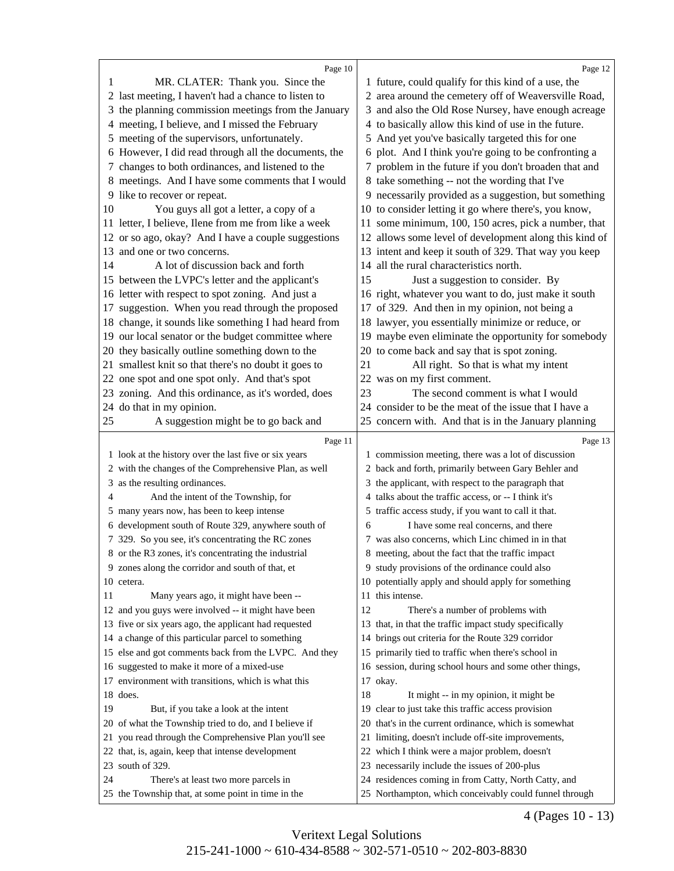<span id="page-7-0"></span>

|    | Page 10                                                                                    |    | Page 12                                                                                                        |
|----|--------------------------------------------------------------------------------------------|----|----------------------------------------------------------------------------------------------------------------|
| 1  | MR. CLATER: Thank you. Since the                                                           |    | 1 future, could qualify for this kind of a use, the                                                            |
|    | 2 last meeting, I haven't had a chance to listen to                                        |    | 2 area around the cemetery off of Weaversville Road,                                                           |
|    | 3 the planning commission meetings from the January                                        |    | 3 and also the Old Rose Nursey, have enough acreage                                                            |
|    | 4 meeting, I believe, and I missed the February                                            |    | 4 to basically allow this kind of use in the future.                                                           |
|    | 5 meeting of the supervisors, unfortunately.                                               |    | 5 And yet you've basically targeted this for one                                                               |
|    | 6 However, I did read through all the documents, the                                       |    | 6 plot. And I think you're going to be confronting a                                                           |
|    | 7 changes to both ordinances, and listened to the                                          |    | 7 problem in the future if you don't broaden that and                                                          |
|    | 8 meetings. And I have some comments that I would                                          |    | 8 take something -- not the wording that I've                                                                  |
|    | 9 like to recover or repeat.                                                               |    | 9 necessarily provided as a suggestion, but something                                                          |
| 10 | You guys all got a letter, a copy of a                                                     |    | 10 to consider letting it go where there's, you know,                                                          |
|    | 11 letter, I believe, Ilene from me from like a week                                       |    | 11 some minimum, 100, 150 acres, pick a number, that                                                           |
|    | 12 or so ago, okay? And I have a couple suggestions                                        |    | 12 allows some level of development along this kind of                                                         |
| 13 | and one or two concerns.                                                                   |    | 13 intent and keep it south of 329. That way you keep                                                          |
| 14 | A lot of discussion back and forth                                                         |    | 14 all the rural characteristics north.                                                                        |
|    | 15 between the LVPC's letter and the applicant's                                           | 15 | Just a suggestion to consider. By                                                                              |
|    | 16 letter with respect to spot zoning. And just a                                          |    | 16 right, whatever you want to do, just make it south                                                          |
|    | 17 suggestion. When you read through the proposed                                          |    | 17 of 329. And then in my opinion, not being a                                                                 |
|    | 18 change, it sounds like something I had heard from                                       |    | 18 lawyer, you essentially minimize or reduce, or                                                              |
|    | 19 our local senator or the budget committee where                                         |    | 19 maybe even eliminate the opportunity for somebody                                                           |
|    | 20 they basically outline something down to the                                            |    | 20 to come back and say that is spot zoning.                                                                   |
|    | 21 smallest knit so that there's no doubt it goes to                                       | 21 | All right. So that is what my intent                                                                           |
|    | 22 one spot and one spot only. And that's spot                                             |    | 22 was on my first comment.                                                                                    |
|    | 23 zoning. And this ordinance, as it's worded, does                                        | 23 | The second comment is what I would                                                                             |
|    | 24 do that in my opinion.                                                                  |    | 24 consider to be the meat of the issue that I have a                                                          |
| 25 | A suggestion might be to go back and                                                       |    | 25 concern with. And that is in the January planning                                                           |
|    |                                                                                            |    |                                                                                                                |
|    |                                                                                            |    |                                                                                                                |
|    | Page 11                                                                                    |    | Page 13                                                                                                        |
|    | 1 look at the history over the last five or six years                                      |    | 1 commission meeting, there was a lot of discussion                                                            |
|    | 2 with the changes of the Comprehensive Plan, as well                                      |    | 2 back and forth, primarily between Gary Behler and                                                            |
| 3  | as the resulting ordinances.                                                               |    | 3 the applicant, with respect to the paragraph that                                                            |
| 4  | And the intent of the Township, for                                                        |    | 4 talks about the traffic access, or -- I think it's                                                           |
|    | 5 many years now, has been to keep intense                                                 |    | 5 traffic access study, if you want to call it that.                                                           |
|    | 6 development south of Route 329, anywhere south of                                        | 6  | I have some real concerns, and there                                                                           |
|    | 7 329. So you see, it's concentrating the RC zones                                         |    | 7 was also concerns, which Linc chimed in in that                                                              |
|    | 8 or the R3 zones, it's concentrating the industrial                                       |    | 8 meeting, about the fact that the traffic impact                                                              |
|    | 9 zones along the corridor and south of that, et                                           |    | 9 study provisions of the ordinance could also                                                                 |
|    | 10 cetera.                                                                                 |    | 10 potentially apply and should apply for something                                                            |
| 11 | Many years ago, it might have been --                                                      |    | 11 this intense.                                                                                               |
|    | 12 and you guys were involved -- it might have been                                        | 12 | There's a number of problems with                                                                              |
|    | 13 five or six years ago, the applicant had requested                                      |    | 13 that, in that the traffic impact study specifically                                                         |
|    | 14 a change of this particular parcel to something                                         |    | 14 brings out criteria for the Route 329 corridor                                                              |
|    | 15 else and got comments back from the LVPC. And they                                      | 15 | primarily tied to traffic when there's school in                                                               |
|    | 16 suggested to make it more of a mixed-use                                                |    | 16 session, during school hours and some other things,                                                         |
|    | 17 environment with transitions, which is what this                                        |    | 17 okay.                                                                                                       |
|    | 18 does.                                                                                   | 18 | It might -- in my opinion, it might be                                                                         |
| 19 | But, if you take a look at the intent                                                      | 19 | clear to just take this traffic access provision                                                               |
| 20 | of what the Township tried to do, and I believe if                                         |    | 20 that's in the current ordinance, which is somewhat                                                          |
|    | 21 you read through the Comprehensive Plan you'll see                                      |    | 21 limiting, doesn't include off-site improvements,                                                            |
|    | 22 that, is, again, keep that intense development                                          |    | 22 which I think were a major problem, doesn't                                                                 |
| 23 | south of 329.                                                                              |    | 23 necessarily include the issues of 200-plus                                                                  |
| 24 | There's at least two more parcels in<br>25 the Township that, at some point in time in the |    | 24 residences coming in from Catty, North Catty, and<br>25 Northampton, which conceivably could funnel through |

4 (Pages 10 - 13)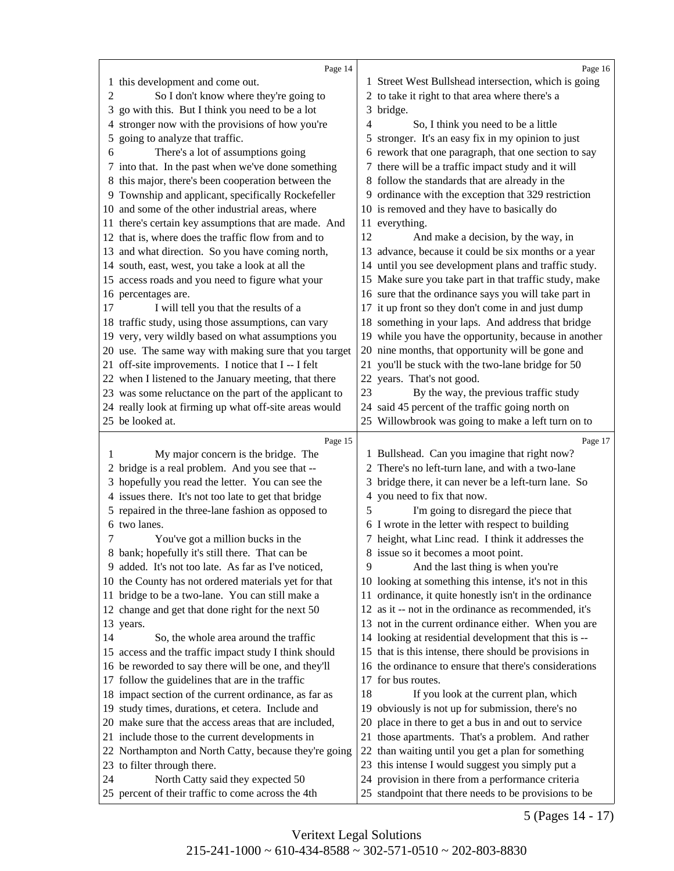<span id="page-8-0"></span>

|        | Page 14                                                                                                      |    | Page 16                                                                                                         |
|--------|--------------------------------------------------------------------------------------------------------------|----|-----------------------------------------------------------------------------------------------------------------|
|        | 1 this development and come out.<br>So I don't know where they're going to                                   |    | 1 Street West Bullshead intersection, which is going<br>2 to take it right to that area where there's a         |
| 2<br>3 | go with this. But I think you need to be a lot                                                               |    | 3 bridge.                                                                                                       |
| 4      | stronger now with the provisions of how you're                                                               | 4  | So, I think you need to be a little                                                                             |
| 5      | going to analyze that traffic.                                                                               |    | 5 stronger. It's an easy fix in my opinion to just                                                              |
| 6      | There's a lot of assumptions going                                                                           |    | 6 rework that one paragraph, that one section to say                                                            |
|        | 7 into that. In the past when we've done something                                                           |    | 7 there will be a traffic impact study and it will                                                              |
|        | 8 this major, there's been cooperation between the                                                           |    | 8 follow the standards that are already in the                                                                  |
|        |                                                                                                              |    | 9 ordinance with the exception that 329 restriction                                                             |
|        | 9 Township and applicant, specifically Rockefeller<br>10 and some of the other industrial areas, where       |    | 10 is removed and they have to basically do                                                                     |
|        |                                                                                                              |    |                                                                                                                 |
|        | 11 there's certain key assumptions that are made. And<br>12 that is, where does the traffic flow from and to | 12 | 11 everything.                                                                                                  |
|        |                                                                                                              |    | And make a decision, by the way, in                                                                             |
|        | 13 and what direction. So you have coming north,                                                             |    | 13 advance, because it could be six months or a year                                                            |
|        | 14 south, east, west, you take a look at all the                                                             |    | 14 until you see development plans and traffic study.                                                           |
|        | 15 access roads and you need to figure what your                                                             |    | 15 Make sure you take part in that traffic study, make<br>16 sure that the ordinance says you will take part in |
| 17     | 16 percentages are.                                                                                          |    | 17 it up front so they don't come in and just dump                                                              |
|        | I will tell you that the results of a<br>18 traffic study, using those assumptions, can vary                 |    |                                                                                                                 |
|        |                                                                                                              |    | 18 something in your laps. And address that bridge                                                              |
|        | 19 very, very wildly based on what assumptions you                                                           |    | 19 while you have the opportunity, because in another<br>20 nine months, that opportunity will be gone and      |
|        | 20 use. The same way with making sure that you target                                                        |    |                                                                                                                 |
|        | 21 off-site improvements. I notice that I -- I felt                                                          |    | 21 you'll be stuck with the two-lane bridge for 50                                                              |
|        | 22 when I listened to the January meeting, that there                                                        |    | 22 years. That's not good.                                                                                      |
|        | 23 was some reluctance on the part of the applicant to                                                       | 23 | By the way, the previous traffic study                                                                          |
|        | 24 really look at firming up what off-site areas would                                                       |    | 24 said 45 percent of the traffic going north on                                                                |
|        | 25 be looked at.                                                                                             |    | 25 Willowbrook was going to make a left turn on to                                                              |
|        |                                                                                                              |    |                                                                                                                 |
|        | Page 15                                                                                                      |    | Page 17                                                                                                         |
| 1      | My major concern is the bridge. The                                                                          |    | 1 Bullshead. Can you imagine that right now?                                                                    |
|        | 2 bridge is a real problem. And you see that --                                                              |    | 2 There's no left-turn lane, and with a two-lane                                                                |
|        | 3 hopefully you read the letter. You can see the                                                             |    | 3 bridge there, it can never be a left-turn lane. So                                                            |
|        | 4 issues there. It's not too late to get that bridge                                                         |    | 4 you need to fix that now.                                                                                     |
|        | 5 repaired in the three-lane fashion as opposed to                                                           | 5  | I'm going to disregard the piece that                                                                           |
|        | 6 two lanes.                                                                                                 |    | 6 I wrote in the letter with respect to building                                                                |
| 7      | You've got a million bucks in the                                                                            |    | 7 height, what Linc read. I think it addresses the                                                              |
|        | 8 bank; hopefully it's still there. That can be                                                              |    | 8 issue so it becomes a moot point.                                                                             |
|        | 9 added. It's not too late. As far as I've noticed,                                                          | 9  | And the last thing is when you're                                                                               |
|        | 10 the County has not ordered materials yet for that                                                         |    | 10 looking at something this intense, it's not in this                                                          |
|        | 11 bridge to be a two-lane. You can still make a                                                             | 11 | ordinance, it quite honestly isn't in the ordinance                                                             |
|        | 12 change and get that done right for the next 50                                                            |    | 12 as it -- not in the ordinance as recommended, it's                                                           |
|        | 13 years.                                                                                                    |    | 13 not in the current ordinance either. When you are                                                            |
| 14     | So, the whole area around the traffic                                                                        |    | 14 looking at residential development that this is --                                                           |
|        | 15 access and the traffic impact study I think should                                                        |    | 15 that is this intense, there should be provisions in                                                          |
|        | 16 be reworded to say there will be one, and they'll                                                         |    | 16 the ordinance to ensure that there's considerations                                                          |
|        | 17 follow the guidelines that are in the traffic                                                             |    | 17 for bus routes.                                                                                              |
|        | 18 impact section of the current ordinance, as far as                                                        | 18 | If you look at the current plan, which                                                                          |
|        | 19 study times, durations, et cetera. Include and                                                            |    | 19 obviously is not up for submission, there's no                                                               |
|        | 20 make sure that the access areas that are included,                                                        | 20 | place in there to get a bus in and out to service                                                               |
|        | 21 include those to the current developments in                                                              |    | 21 those apartments. That's a problem. And rather                                                               |
|        | 22 Northampton and North Catty, because they're going                                                        |    | 22 than waiting until you get a plan for something                                                              |
|        | 23 to filter through there.                                                                                  |    | 23 this intense I would suggest you simply put a                                                                |
| 24     | North Catty said they expected 50<br>25 percent of their traffic to come across the 4th                      |    | 24 provision in there from a performance criteria<br>25 standpoint that there needs to be provisions to be      |

5 (Pages 14 - 17)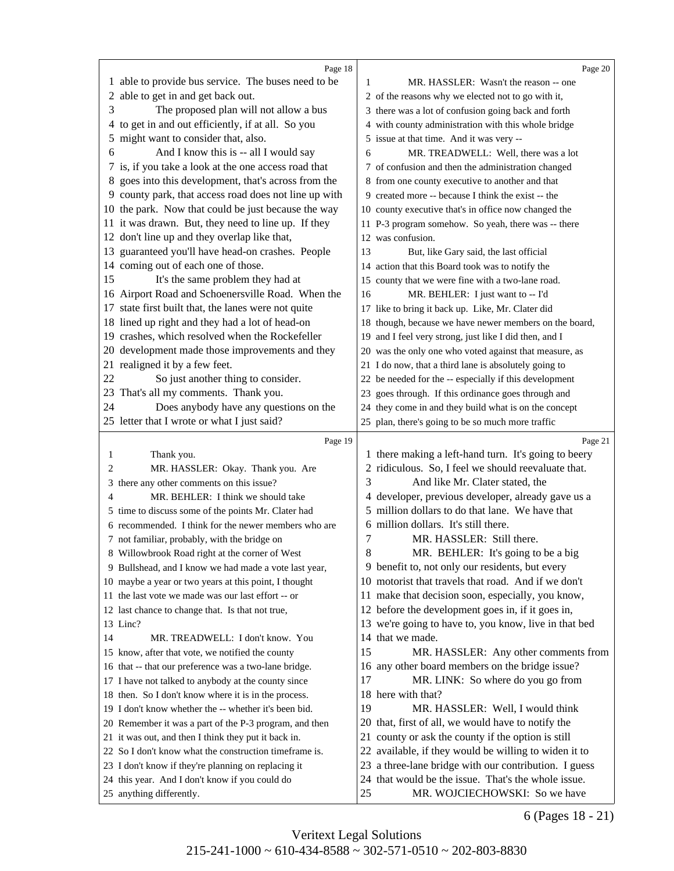<span id="page-9-0"></span>

|    | Page 18                                                                                               |    | Page 20                                                                                                      |
|----|-------------------------------------------------------------------------------------------------------|----|--------------------------------------------------------------------------------------------------------------|
|    | 1 able to provide bus service. The buses need to be                                                   | 1  | MR. HASSLER: Wasn't the reason -- one                                                                        |
|    | 2 able to get in and get back out.                                                                    |    | 2 of the reasons why we elected not to go with it,                                                           |
| 3  | The proposed plan will not allow a bus                                                                |    | 3 there was a lot of confusion going back and forth                                                          |
|    | 4 to get in and out efficiently, if at all. So you                                                    |    | 4 with county administration with this whole bridge                                                          |
|    | 5 might want to consider that, also.                                                                  |    | 5 issue at that time. And it was very --                                                                     |
| 6  | And I know this is -- all I would say                                                                 | 6  | MR. TREADWELL: Well, there was a lot                                                                         |
|    | 7 is, if you take a look at the one access road that                                                  |    | 7 of confusion and then the administration changed                                                           |
|    | 8 goes into this development, that's across from the                                                  |    | 8 from one county executive to another and that                                                              |
|    | 9 county park, that access road does not line up with                                                 |    | 9 created more -- because I think the exist -- the                                                           |
|    | 10 the park. Now that could be just because the way                                                   |    | 10 county executive that's in office now changed the                                                         |
|    | 11 it was drawn. But, they need to line up. If they                                                   |    | 11 P-3 program somehow. So yeah, there was -- there                                                          |
|    | 12 don't line up and they overlap like that,                                                          |    | 12 was confusion.                                                                                            |
|    | 13 guaranteed you'll have head-on crashes. People                                                     | 13 | But, like Gary said, the last official                                                                       |
|    | 14 coming out of each one of those.                                                                   |    | 14 action that this Board took was to notify the                                                             |
| 15 | It's the same problem they had at                                                                     |    | 15 county that we were fine with a two-lane road.                                                            |
|    | 16 Airport Road and Schoenersville Road. When the                                                     | 16 | MR. BEHLER: I just want to -- I'd                                                                            |
|    | 17 state first built that, the lanes were not quite                                                   |    | 17 like to bring it back up. Like, Mr. Clater did                                                            |
|    | 18 lined up right and they had a lot of head-on                                                       |    | 18 though, because we have newer members on the board,                                                       |
|    | 19 crashes, which resolved when the Rockefeller                                                       |    | 19 and I feel very strong, just like I did then, and I                                                       |
| 20 | development made those improvements and they                                                          |    | 20 was the only one who voted against that measure, as                                                       |
| 21 | realigned it by a few feet.                                                                           |    | 21 I do now, that a third lane is absolutely going to                                                        |
| 22 | So just another thing to consider.                                                                    |    | 22 be needed for the -- especially if this development                                                       |
|    | 23 That's all my comments. Thank you.                                                                 |    | 23 goes through. If this ordinance goes through and                                                          |
| 24 | Does anybody have any questions on the                                                                |    | 24 they come in and they build what is on the concept                                                        |
|    | 25 letter that I wrote or what I just said?                                                           |    | 25 plan, there's going to be so much more traffic                                                            |
|    |                                                                                                       |    |                                                                                                              |
|    |                                                                                                       |    |                                                                                                              |
|    | Page 19                                                                                               |    | Page 21                                                                                                      |
| 1  | Thank you.                                                                                            |    | 1 there making a left-hand turn. It's going to beery                                                         |
| 2  | MR. HASSLER: Okay. Thank you. Are                                                                     |    | 2 ridiculous. So, I feel we should reevaluate that.                                                          |
| 3  | there any other comments on this issue?                                                               | 3  | And like Mr. Clater stated, the                                                                              |
| 4  | MR. BEHLER: I think we should take                                                                    |    | 4 developer, previous developer, already gave us a                                                           |
|    | 5 time to discuss some of the points Mr. Clater had                                                   |    | 5 million dollars to do that lane. We have that                                                              |
|    | 6 recommended. I think for the newer members who are                                                  | 7  | 6 million dollars. It's still there.                                                                         |
|    | 7 not familiar, probably, with the bridge on                                                          |    | MR. HASSLER: Still there.                                                                                    |
|    | 8 Willowbrook Road right at the corner of West                                                        | 8  | MR. BEHLER: It's going to be a big                                                                           |
|    | 9 Bullshead, and I know we had made a vote last year,                                                 |    | 9 benefit to, not only our residents, but every                                                              |
|    | 10 maybe a year or two years at this point, I thought                                                 |    | 10 motorist that travels that road. And if we don't                                                          |
|    | 11 the last vote we made was our last effort -- or                                                    |    | 11 make that decision soon, especially, you know,                                                            |
|    | 12 last chance to change that. Is that not true,                                                      |    | 12 before the development goes in, if it goes in,                                                            |
|    | 13 Linc?                                                                                              |    | 13 we're going to have to, you know, live in that bed                                                        |
| 14 | MR. TREADWELL: I don't know. You                                                                      |    | 14 that we made.                                                                                             |
|    | 15 know, after that vote, we notified the county                                                      | 15 | MR. HASSLER: Any other comments from                                                                         |
|    | 16 that -- that our preference was a two-lane bridge.                                                 |    | 16 any other board members on the bridge issue?                                                              |
|    | 17 I have not talked to anybody at the county since                                                   | 17 | MR. LINK: So where do you go from                                                                            |
|    | 18 then. So I don't know where it is in the process.                                                  |    | 18 here with that?                                                                                           |
|    | 19 I don't know whether the -- whether it's been bid.                                                 | 19 | MR. HASSLER: Well, I would think                                                                             |
|    | 20 Remember it was a part of the P-3 program, and then                                                |    | 20 that, first of all, we would have to notify the                                                           |
|    | 21 it was out, and then I think they put it back in.                                                  |    | 21 county or ask the county if the option is still                                                           |
|    | 22 So I don't know what the construction timeframe is.                                                |    | 22 available, if they would be willing to widen it to                                                        |
|    | 23 I don't know if they're planning on replacing it<br>24 this year. And I don't know if you could do |    | 23 a three-lane bridge with our contribution. I guess<br>24 that would be the issue. That's the whole issue. |

6 (Pages 18 - 21)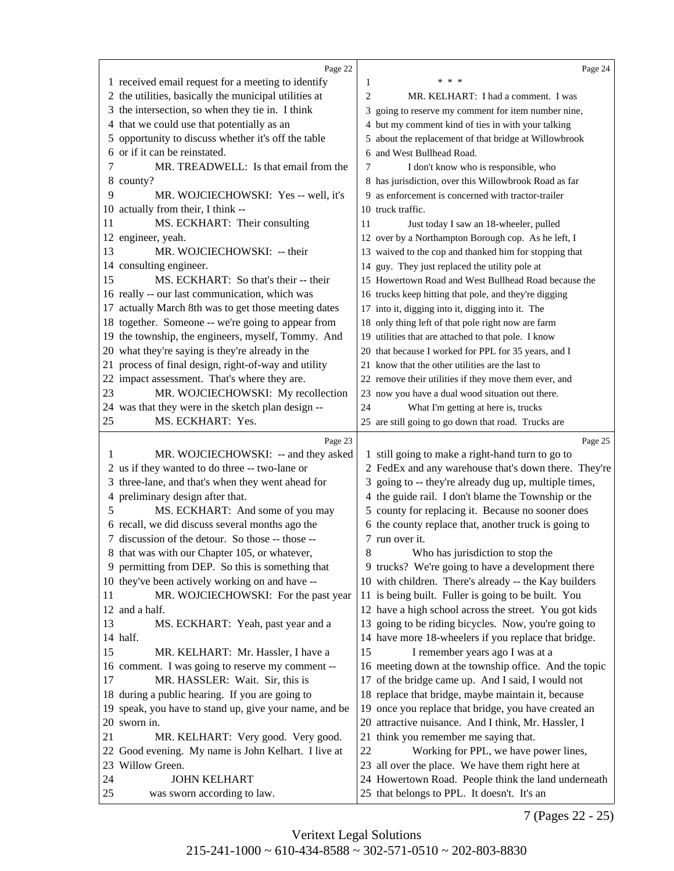<span id="page-10-0"></span>

|          | Page 22                                                                                           | Page 24                                                                                            |  |
|----------|---------------------------------------------------------------------------------------------------|----------------------------------------------------------------------------------------------------|--|
|          | 1 received email request for a meeting to identify                                                | * * *<br>1                                                                                         |  |
|          | 2 the utilities, basically the municipal utilities at                                             | 2<br>MR. KELHART: I had a comment. I was                                                           |  |
|          | 3 the intersection, so when they tie in. I think                                                  | 3 going to reserve my comment for item number nine,                                                |  |
|          | 4 that we could use that potentially as an                                                        | 4 but my comment kind of ties in with your talking                                                 |  |
|          | 5 opportunity to discuss whether it's off the table                                               | 5 about the replacement of that bridge at Willowbrook                                              |  |
|          | 6 or if it can be reinstated.                                                                     | 6 and West Bullhead Road.                                                                          |  |
| 7        | MR. TREADWELL: Is that email from the                                                             | I don't know who is responsible, who<br>7                                                          |  |
|          | 8 county?                                                                                         | 8 has jurisdiction, over this Willowbrook Road as far                                              |  |
| 9        | MR. WOJCIECHOWSKI: Yes -- well, it's                                                              | 9 as enforcement is concerned with tractor-trailer                                                 |  |
|          | 10 actually from their, I think --                                                                | 10 truck traffic.                                                                                  |  |
| 11       | MS. ECKHART: Their consulting                                                                     | 11<br>Just today I saw an 18-wheeler, pulled                                                       |  |
|          | 12 engineer, yeah.                                                                                | 12 over by a Northampton Borough cop. As he left, I                                                |  |
| 13       | MR. WOJCIECHOWSKI: -- their                                                                       | 13 waived to the cop and thanked him for stopping that                                             |  |
|          | 14 consulting engineer.                                                                           | 14 guy. They just replaced the utility pole at                                                     |  |
| 15       | MS. ECKHART: So that's their -- their                                                             | 15 Howertown Road and West Bullhead Road because the                                               |  |
|          | 16 really -- our last communication, which was                                                    | 16 trucks keep hitting that pole, and they're digging                                              |  |
|          | 17 actually March 8th was to get those meeting dates                                              | 17 into it, digging into it, digging into it. The                                                  |  |
|          | 18 together. Someone -- we're going to appear from                                                | 18 only thing left of that pole right now are farm                                                 |  |
|          | 19 the township, the engineers, myself, Tommy. And                                                | 19 utilities that are attached to that pole. I know                                                |  |
|          | 20 what they're saying is they're already in the                                                  | 20 that because I worked for PPL for 35 years, and I                                               |  |
|          | 21 process of final design, right-of-way and utility                                              | 21 know that the other utilities are the last to                                                   |  |
|          | 22 impact assessment. That's where they are.                                                      | 22 remove their utilities if they move them ever, and                                              |  |
| 23       | MR. WOJCIECHOWSKI: My recollection                                                                | 23 now you have a dual wood situation out there.                                                   |  |
|          | 24 was that they were in the sketch plan design --                                                | 24<br>What I'm getting at here is, trucks                                                          |  |
| 25       | MS. ECKHART: Yes.                                                                                 | 25 are still going to go down that road. Trucks are                                                |  |
|          |                                                                                                   |                                                                                                    |  |
|          |                                                                                                   |                                                                                                    |  |
| 1        | Page 23                                                                                           | Page 25                                                                                            |  |
|          | MR. WOJCIECHOWSKI: -- and they asked                                                              | 1 still going to make a right-hand turn to go to                                                   |  |
|          | 2 us if they wanted to do three -- two-lane or                                                    | 2 FedEx and any warehouse that's down there. They're                                               |  |
|          | 3 three-lane, and that's when they went ahead for                                                 | 3 going to -- they're already dug up, multiple times,                                              |  |
| 5        | 4 preliminary design after that.                                                                  | 4 the guide rail. I don't blame the Township or the                                                |  |
|          | MS. ECKHART: And some of you may<br>6 recall, we did discuss several months ago the               | 5 county for replacing it. Because no sooner does                                                  |  |
|          |                                                                                                   | 6 the county replace that, another truck is going to<br>7 run over it.                             |  |
|          | 7 discussion of the detour. So those -- those --<br>8 that was with our Chapter 105, or whatever, | 8<br>Who has jurisdiction to stop the                                                              |  |
|          | 9 permitting from DEP. So this is something that                                                  | 9 trucks? We're going to have a development there                                                  |  |
|          | 10 they've been actively working on and have --                                                   | 10 with children. There's already -- the Kay builders                                              |  |
| 11       | MR. WOJCIECHOWSKI: For the past year                                                              | 11 is being built. Fuller is going to be built. You                                                |  |
|          | 12 and a half.                                                                                    | 12 have a high school across the street. You got kids                                              |  |
| 13       | MS. ECKHART: Yeah, past year and a                                                                | 13 going to be riding bicycles. Now, you're going to                                               |  |
|          | 14 half.                                                                                          | 14 have more 18-wheelers if you replace that bridge.                                               |  |
| 15       | MR. KELHART: Mr. Hassler, I have a                                                                | 15<br>I remember years ago I was at a                                                              |  |
|          | 16 comment. I was going to reserve my comment --                                                  | 16 meeting down at the township office. And the topic                                              |  |
| 17       | MR. HASSLER: Wait. Sir, this is                                                                   | 17 of the bridge came up. And I said, I would not                                                  |  |
|          | 18 during a public hearing. If you are going to                                                   | 18 replace that bridge, maybe maintain it, because                                                 |  |
|          | 19 speak, you have to stand up, give your name, and be                                            | 19 once you replace that bridge, you have created an                                               |  |
|          | 20 sworn in.                                                                                      | 20 attractive nuisance. And I think, Mr. Hassler, I                                                |  |
| 21       | MR. KELHART: Very good. Very good.                                                                | 21 think you remember me saying that.                                                              |  |
|          | 22 Good evening. My name is John Kelhart. I live at                                               | 22<br>Working for PPL, we have power lines,                                                        |  |
| 23       | Willow Green.                                                                                     | 23 all over the place. We have them right here at                                                  |  |
| 24<br>25 | <b>JOHN KELHART</b>                                                                               | 24 Howertown Road. People think the land underneath<br>25 that belongs to PPL. It doesn't. It's an |  |

7 (Pages 22 - 25)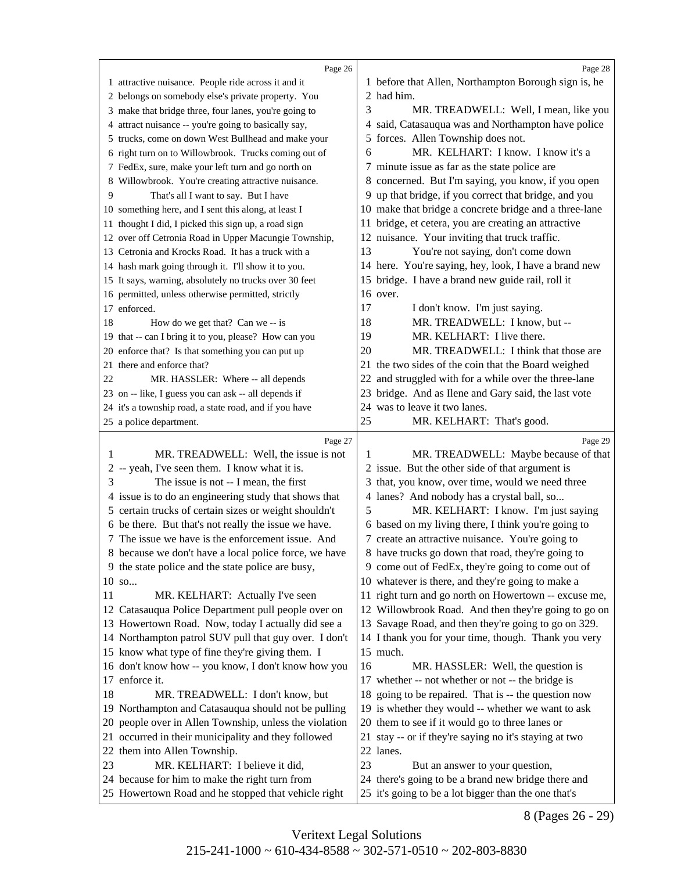<span id="page-11-0"></span>

|    | Page 26                                                                                                     |    | Page 28                                                                                                      |
|----|-------------------------------------------------------------------------------------------------------------|----|--------------------------------------------------------------------------------------------------------------|
|    | 1 attractive nuisance. People ride across it and it                                                         |    | 1 before that Allen, Northampton Borough sign is, he                                                         |
|    | 2 belongs on somebody else's private property. You                                                          |    | 2 had him.                                                                                                   |
|    | 3 make that bridge three, four lanes, you're going to                                                       | 3  | MR. TREADWELL: Well, I mean, like you                                                                        |
|    |                                                                                                             |    | 4 said, Catasauqua was and Northampton have police                                                           |
|    | 4 attract nuisance -- you're going to basically say,                                                        |    | 5 forces. Allen Township does not.                                                                           |
|    | 5 trucks, come on down West Bullhead and make your                                                          | 6  | MR. KELHART: I know. I know it's a                                                                           |
|    | 6 right turn on to Willowbrook. Trucks coming out of                                                        |    |                                                                                                              |
|    | 7 FedEx, sure, make your left turn and go north on                                                          |    | 7 minute issue as far as the state police are                                                                |
|    | 8 Willowbrook. You're creating attractive nuisance.                                                         |    | 8 concerned. But I'm saying, you know, if you open                                                           |
| 9  | That's all I want to say. But I have                                                                        |    | 9 up that bridge, if you correct that bridge, and you                                                        |
|    | 10 something here, and I sent this along, at least I                                                        |    | 10 make that bridge a concrete bridge and a three-lane                                                       |
|    | 11 thought I did, I picked this sign up, a road sign                                                        |    | 11 bridge, et cetera, you are creating an attractive                                                         |
|    | 12 over off Cetronia Road in Upper Macungie Township,                                                       |    | 12 nuisance. Your inviting that truck traffic.                                                               |
|    | 13 Cetronia and Krocks Road. It has a truck with a                                                          | 13 | You're not saying, don't come down                                                                           |
|    | 14 hash mark going through it. I'll show it to you.                                                         |    | 14 here. You're saying, hey, look, I have a brand new                                                        |
|    | 15 It says, warning, absolutely no trucks over 30 feet                                                      | 15 | bridge. I have a brand new guide rail, roll it                                                               |
|    | 16 permitted, unless otherwise permitted, strictly                                                          |    | 16 over.                                                                                                     |
|    | 17 enforced.                                                                                                | 17 | I don't know. I'm just saying.                                                                               |
| 18 | How do we get that? Can we -- is                                                                            | 18 | MR. TREADWELL: I know, but --                                                                                |
|    | 19 that -- can I bring it to you, please? How can you                                                       | 19 | MR. KELHART: I live there.                                                                                   |
|    | 20 enforce that? Is that something you can put up                                                           | 20 | MR. TREADWELL: I think that those are                                                                        |
|    | 21 there and enforce that?                                                                                  |    | 21 the two sides of the coin that the Board weighed                                                          |
| 22 | MR. HASSLER: Where -- all depends                                                                           | 22 | and struggled with for a while over the three-lane                                                           |
|    | 23 on -- like, I guess you can ask -- all depends if                                                        | 23 | bridge. And as Ilene and Gary said, the last vote                                                            |
|    | 24 it's a township road, a state road, and if you have                                                      | 24 | was to leave it two lanes.                                                                                   |
|    | 25 a police department.                                                                                     | 25 | MR. KELHART: That's good.                                                                                    |
|    |                                                                                                             |    |                                                                                                              |
|    | Page 27                                                                                                     |    |                                                                                                              |
| 1  | MR. TREADWELL: Well, the issue is not                                                                       | 1  | Page 29<br>MR. TREADWELL: Maybe because of that                                                              |
|    | 2 -- yeah, I've seen them. I know what it is.                                                               |    | 2 issue. But the other side of that argument is                                                              |
| 3  | The issue is not -- I mean, the first                                                                       |    | 3 that, you know, over time, would we need three                                                             |
|    | 4 issue is to do an engineering study that shows that                                                       |    |                                                                                                              |
|    |                                                                                                             | 5  | 4 lanes? And nobody has a crystal ball, so                                                                   |
|    | 5 certain trucks of certain sizes or weight shouldn't                                                       |    | MR. KELHART: I know. I'm just saying                                                                         |
|    | 6 be there. But that's not really the issue we have.<br>7 The issue we have is the enforcement issue. And   |    | 6 based on my living there, I think you're going to                                                          |
|    |                                                                                                             |    | 7 create an attractive nuisance. You're going to                                                             |
|    | 8 because we don't have a local police force, we have                                                       |    | 8 have trucks go down that road, they're going to                                                            |
|    | 9 the state police and the state police are busy,<br>$10$ so                                                |    | 9 come out of FedEx, they're going to come out of<br>10 whatever is there, and they're going to make a       |
| 11 |                                                                                                             |    |                                                                                                              |
|    | MR. KELHART: Actually I've seen                                                                             |    | 11 right turn and go north on Howertown -- excuse me,                                                        |
|    | 12 Catasauqua Police Department pull people over on                                                         |    | 12 Willowbrook Road. And then they're going to go on<br>13 Savage Road, and then they're going to go on 329. |
|    | 13 Howertown Road. Now, today I actually did see a<br>14 Northampton patrol SUV pull that guy over. I don't |    |                                                                                                              |
|    |                                                                                                             |    | 14 I thank you for your time, though. Thank you very<br>15 much.                                             |
|    | 15 know what type of fine they're giving them. I<br>16 don't know how -- you know, I don't know how you     | 16 | MR. HASSLER: Well, the question is                                                                           |
|    | 17 enforce it.                                                                                              |    |                                                                                                              |
| 18 | MR. TREADWELL: I don't know, but                                                                            |    | 17 whether -- not whether or not -- the bridge is<br>18 going to be repaired. That is -- the question now    |
|    | 19 Northampton and Catasauqua should not be pulling                                                         |    |                                                                                                              |
|    |                                                                                                             |    | 19 is whether they would -- whether we want to ask<br>20 them to see if it would go to three lanes or        |
|    | 20 people over in Allen Township, unless the violation                                                      |    |                                                                                                              |
|    | 21 occurred in their municipality and they followed                                                         |    | 21 stay -- or if they're saying no it's staying at two<br>22 lanes.                                          |
| 23 | 22 them into Allen Township.<br>MR. KELHART: I believe it did,                                              | 23 | But an answer to your question,                                                                              |
|    | 24 because for him to make the right turn from                                                              |    | 24 there's going to be a brand new bridge there and                                                          |

8 (Pages 26 - 29)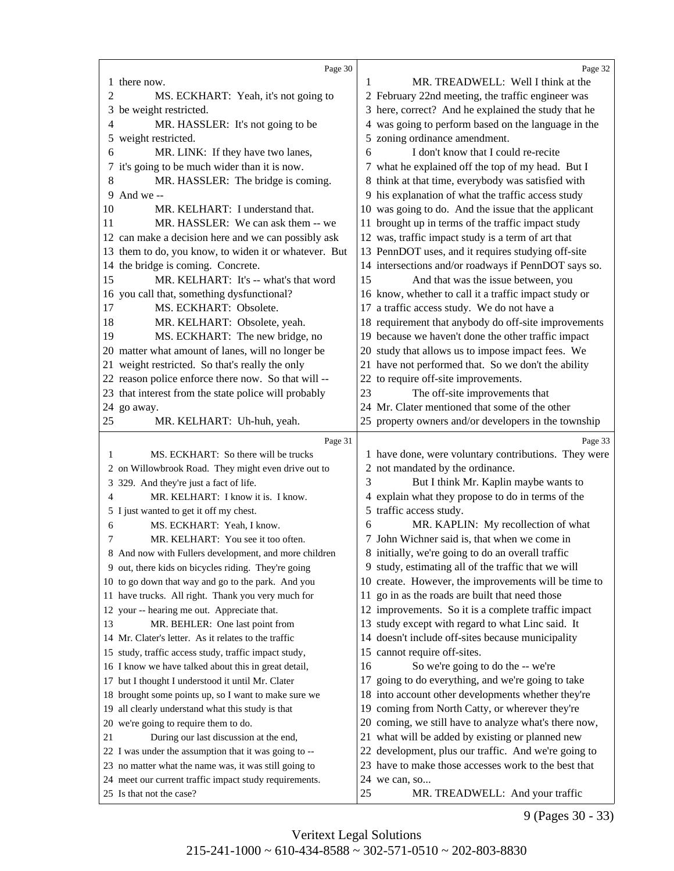<span id="page-12-0"></span>

|    | Page 30                                                                                                       |    | Page 32                                                                                                  |
|----|---------------------------------------------------------------------------------------------------------------|----|----------------------------------------------------------------------------------------------------------|
|    | 1 there now.                                                                                                  |    | MR. TREADWELL: Well I think at the                                                                       |
| 2  | MS. ECKHART: Yeah, it's not going to                                                                          |    | 2 February 22nd meeting, the traffic engineer was                                                        |
|    | 3 be weight restricted.                                                                                       |    | 3 here, correct? And he explained the study that he                                                      |
| 4  | MR. HASSLER: It's not going to be                                                                             |    | 4 was going to perform based on the language in the                                                      |
|    | 5 weight restricted.                                                                                          |    | 5 zoning ordinance amendment.                                                                            |
| 6  | MR. LINK: If they have two lanes,                                                                             | 6  | I don't know that I could re-recite                                                                      |
|    | it's going to be much wider than it is now.                                                                   |    | 7 what he explained off the top of my head. But I                                                        |
| 8  | MR. HASSLER: The bridge is coming.                                                                            |    | 8 think at that time, everybody was satisfied with                                                       |
| 9  | And we --                                                                                                     |    | 9 his explanation of what the traffic access study                                                       |
| 10 | MR. KELHART: I understand that.                                                                               |    | 10 was going to do. And the issue that the applicant                                                     |
| 11 | MR. HASSLER: We can ask them -- we                                                                            |    | 11 brought up in terms of the traffic impact study                                                       |
|    | 12 can make a decision here and we can possibly ask                                                           |    | 12 was, traffic impact study is a term of art that                                                       |
|    | 13 them to do, you know, to widen it or whatever. But                                                         |    | 13 PennDOT uses, and it requires studying off-site                                                       |
|    | 14 the bridge is coming. Concrete.                                                                            |    | 14 intersections and/or roadways if PennDOT says so.                                                     |
| 15 | MR. KELHART: It's -- what's that word                                                                         | 15 | And that was the issue between, you                                                                      |
|    | 16 you call that, something dysfunctional?                                                                    |    | 16 know, whether to call it a traffic impact study or                                                    |
| 17 | MS. ECKHART: Obsolete.                                                                                        |    | 17 a traffic access study. We do not have a                                                              |
| 18 | MR. KELHART: Obsolete, yeah.                                                                                  |    | 18 requirement that anybody do off-site improvements                                                     |
| 19 | MS. ECKHART: The new bridge, no                                                                               |    | 19 because we haven't done the other traffic impact                                                      |
|    | 20 matter what amount of lanes, will no longer be                                                             |    | 20 study that allows us to impose impact fees. We                                                        |
|    | 21 weight restricted. So that's really the only                                                               |    | 21 have not performed that. So we don't the ability                                                      |
|    | 22 reason police enforce there now. So that will --                                                           |    | 22 to require off-site improvements.                                                                     |
|    | 23 that interest from the state police will probably                                                          | 23 | The off-site improvements that                                                                           |
|    | 24 go away.                                                                                                   |    | 24 Mr. Clater mentioned that some of the other                                                           |
| 25 | MR. KELHART: Uh-huh, yeah.                                                                                    |    | 25 property owners and/or developers in the township                                                     |
|    |                                                                                                               |    |                                                                                                          |
|    |                                                                                                               |    |                                                                                                          |
|    | Page 31                                                                                                       |    | Page 33                                                                                                  |
| 1  | MS. ECKHART: So there will be trucks                                                                          |    | 1 have done, were voluntary contributions. They were                                                     |
|    | 2 on Willowbrook Road. They might even drive out to                                                           | 3  | 2 not mandated by the ordinance.                                                                         |
| 4  | 3 329. And they're just a fact of life.                                                                       |    | But I think Mr. Kaplin maybe wants to                                                                    |
|    | MR. KELHART: I know it is. I know.                                                                            |    | 4 explain what they propose to do in terms of the                                                        |
| 6  | 5 I just wanted to get it off my chest.                                                                       | 6  | 5 traffic access study.                                                                                  |
| 7  | MS. ECKHART: Yeah, I know.                                                                                    |    | MR. KAPLIN: My recollection of what<br>7 John Wichner said is, that when we come in                      |
|    | MR. KELHART: You see it too often.                                                                            |    |                                                                                                          |
|    | 8 And now with Fullers development, and more children                                                         |    | 8 initially, we're going to do an overall traffic                                                        |
|    | 9 out, there kids on bicycles riding. They're going                                                           |    | 9 study, estimating all of the traffic that we will                                                      |
|    | 10 to go down that way and go to the park. And you                                                            |    | 10 create. However, the improvements will be time to                                                     |
|    | 11 have trucks. All right. Thank you very much for<br>12 your -- hearing me out. Appreciate that.             |    | 11 go in as the roads are built that need those                                                          |
| 13 | MR. BEHLER: One last point from                                                                               |    | 12 improvements. So it is a complete traffic impact<br>13 study except with regard to what Linc said. It |
|    | 14 Mr. Clater's letter. As it relates to the traffic                                                          |    | 14 doesn't include off-sites because municipality                                                        |
|    |                                                                                                               |    |                                                                                                          |
|    | 15 study, traffic access study, traffic impact study,<br>16 I know we have talked about this in great detail, | 16 | 15 cannot require off-sites.<br>So we're going to do the -- we're                                        |
|    | 17 but I thought I understood it until Mr. Clater                                                             |    | 17 going to do everything, and we're going to take                                                       |
|    | 18 brought some points up, so I want to make sure we                                                          |    | 18 into account other developments whether they're                                                       |
|    | 19 all clearly understand what this study is that                                                             |    | 19 coming from North Catty, or wherever they're                                                          |
|    | 20 we're going to require them to do.                                                                         |    | 20 coming, we still have to analyze what's there now,                                                    |
| 21 | During our last discussion at the end,                                                                        |    | 21 what will be added by existing or planned new                                                         |
|    | 22 I was under the assumption that it was going to --                                                         |    | 22 development, plus our traffic. And we're going to                                                     |
|    | 23 no matter what the name was, it was still going to                                                         |    | 23 have to make those accesses work to the best that                                                     |
|    | 24 meet our current traffic impact study requirements.                                                        |    | 24 we can, so                                                                                            |

9 (Pages 30 - 33)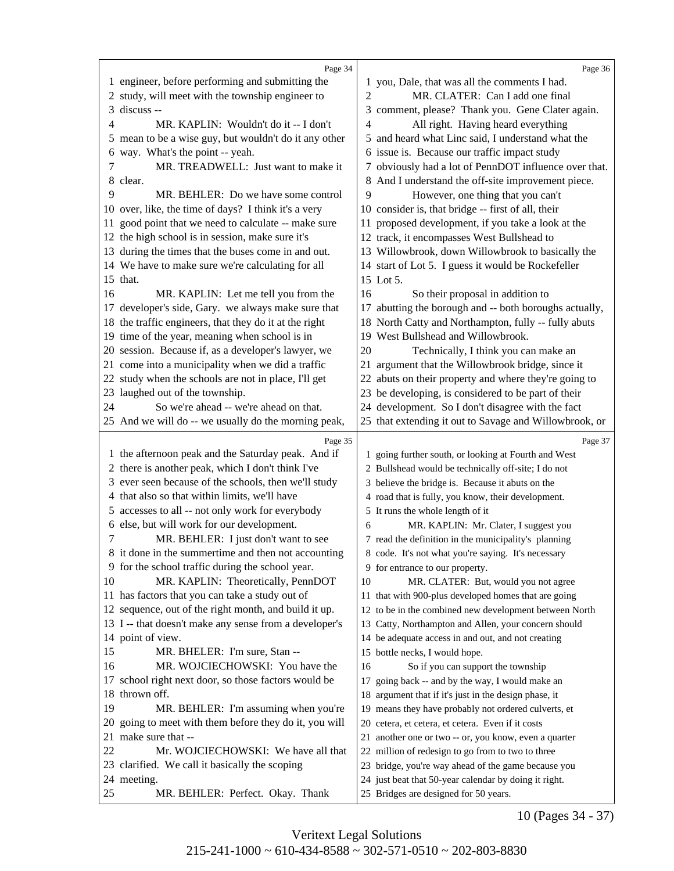<span id="page-13-0"></span>

|    | Page 34                                                                                      |    | Page 36                                                                                      |
|----|----------------------------------------------------------------------------------------------|----|----------------------------------------------------------------------------------------------|
|    | 1 engineer, before performing and submitting the                                             |    | 1 you, Dale, that was all the comments I had.                                                |
|    | 2 study, will meet with the township engineer to                                             | 2  | MR. CLATER: Can I add one final                                                              |
| 3  | discuss --                                                                                   |    | 3 comment, please? Thank you. Gene Clater again.                                             |
| 4  | MR. KAPLIN: Wouldn't do it -- I don't                                                        | 4  | All right. Having heard everything                                                           |
|    | 5 mean to be a wise guy, but wouldn't do it any other                                        |    | 5 and heard what Linc said, I understand what the                                            |
| 6  | way. What's the point -- yeah.                                                               |    | 6 issue is. Because our traffic impact study                                                 |
| 7  | MR. TREADWELL: Just want to make it                                                          |    | 7 obviously had a lot of PennDOT influence over that.                                        |
|    | 8 clear.                                                                                     |    | 8 And I understand the off-site improvement piece.                                           |
| 9  | MR. BEHLER: Do we have some control                                                          | 9  | However, one thing that you can't                                                            |
|    | 10 over, like, the time of days? I think it's a very                                         |    | 10 consider is, that bridge -- first of all, their                                           |
| 11 | good point that we need to calculate -- make sure                                            |    | 11 proposed development, if you take a look at the                                           |
| 12 | the high school is in session, make sure it's                                                |    | 12 track, it encompasses West Bullshead to                                                   |
|    | 13 during the times that the buses come in and out.                                          |    | 13 Willowbrook, down Willowbrook to basically the                                            |
|    | 14 We have to make sure we're calculating for all                                            |    | 14 start of Lot 5. I guess it would be Rockefeller                                           |
|    | 15 that.                                                                                     |    | 15 Lot 5.                                                                                    |
| 16 | MR. KAPLIN: Let me tell you from the                                                         | 16 | So their proposal in addition to                                                             |
|    | 17 developer's side, Gary. we always make sure that                                          |    | 17 abutting the borough and -- both boroughs actually,                                       |
|    | 18 the traffic engineers, that they do it at the right                                       |    | 18 North Catty and Northampton, fully -- fully abuts                                         |
|    | 19 time of the year, meaning when school is in                                               |    | 19 West Bullshead and Willowbrook.                                                           |
|    | 20 session. Because if, as a developer's lawyer, we                                          | 20 | Technically, I think you can make an                                                         |
|    | 21 come into a municipality when we did a traffic                                            |    | 21 argument that the Willowbrook bridge, since it                                            |
|    | 22 study when the schools are not in place, I'll get                                         |    | 22 abuts on their property and where they're going to                                        |
|    | 23 laughed out of the township.                                                              |    | 23 be developing, is considered to be part of their                                          |
| 24 | So we're ahead -- we're ahead on that.                                                       |    | 24 development. So I don't disagree with the fact                                            |
|    | 25 And we will do -- we usually do the morning peak,                                         |    | 25 that extending it out to Savage and Willowbrook, or                                       |
|    |                                                                                              |    |                                                                                              |
|    |                                                                                              |    |                                                                                              |
|    | Page 35                                                                                      |    | Page 37                                                                                      |
|    | 1 the afternoon peak and the Saturday peak. And if                                           |    | 1 going further south, or looking at Fourth and West                                         |
|    | 2 there is another peak, which I don't think I've                                            |    | 2 Bullshead would be technically off-site; I do not                                          |
|    | 3 ever seen because of the schools, then we'll study                                         |    | 3 believe the bridge is. Because it abuts on the                                             |
|    | 4 that also so that within limits, we'll have                                                |    | 4 road that is fully, you know, their development.                                           |
| 6  | 5 accesses to all -- not only work for everybody<br>else, but will work for our development. | 6  | 5 It runs the whole length of it                                                             |
| 7  |                                                                                              |    | MR. KAPLIN: Mr. Clater, I suggest you                                                        |
|    | MR. BEHLER: I just don't want to see<br>8 it done in the summertime and then not accounting  |    | 7 read the definition in the municipality's planning                                         |
|    | 9 for the school traffic during the school year.                                             |    | 8 code. It's not what you're saying. It's necessary<br>9 for entrance to our property.       |
| 10 | MR. KAPLIN: Theoretically, PennDOT                                                           | 10 |                                                                                              |
|    | 11 has factors that you can take a study out of                                              |    | MR. CLATER: But, would you not agree<br>11 that with 900-plus developed homes that are going |
| 12 | sequence, out of the right month, and build it up.                                           |    | 12 to be in the combined new development between North                                       |
|    | 13 I -- that doesn't make any sense from a developer's                                       |    | 13 Catty, Northampton and Allen, your concern should                                         |
| 14 | point of view.                                                                               |    | 14 be adequate access in and out, and not creating                                           |
| 15 | MR. BHELER: I'm sure, Stan --                                                                |    | 15 bottle necks, I would hope.                                                               |
| 16 | MR. WOJCIECHOWSKI: You have the                                                              | 16 | So if you can support the township                                                           |
| 17 | school right next door, so those factors would be                                            |    | 17 going back -- and by the way, I would make an                                             |
| 18 | thrown off.                                                                                  |    | 18 argument that if it's just in the design phase, it                                        |
| 19 | MR. BEHLER: I'm assuming when you're                                                         |    | 19 means they have probably not ordered culverts, et                                         |
| 20 | going to meet with them before they do it, you will                                          |    | 20 cetera, et cetera, et cetera. Even if it costs                                            |
| 21 | make sure that --                                                                            |    | 21 another one or two -- or, you know, even a quarter                                        |
| 22 | Mr. WOJCIECHOWSKI: We have all that                                                          |    | 22 million of redesign to go from to two to three                                            |
| 23 | clarified. We call it basically the scoping                                                  |    | 23 bridge, you're way ahead of the game because you                                          |
|    | 24 meeting.                                                                                  |    | 24 just beat that 50-year calendar by doing it right.                                        |

10 (Pages 34 - 37)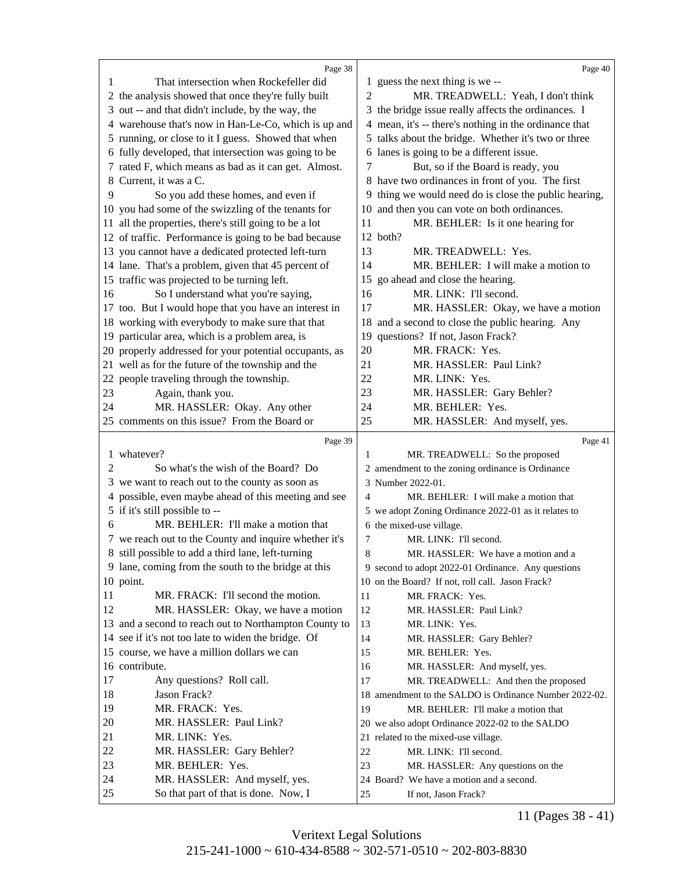<span id="page-14-0"></span>

|          | Page 38                                                                                |    | Page 40                                                               |
|----------|----------------------------------------------------------------------------------------|----|-----------------------------------------------------------------------|
| 1        | That intersection when Rockefeller did                                                 |    | 1 guess the next thing is we --                                       |
|          | 2 the analysis showed that once they're fully built                                    | 2  | MR. TREADWELL: Yeah, I don't think                                    |
|          | 3 out -- and that didn't include, by the way, the                                      |    | 3 the bridge issue really affects the ordinances. I                   |
|          | 4 warehouse that's now in Han-Le-Co, which is up and                                   |    | 4 mean, it's -- there's nothing in the ordinance that                 |
|          | 5 running, or close to it I guess. Showed that when                                    |    | 5 talks about the bridge. Whether it's two or three                   |
|          | 6 fully developed, that intersection was going to be                                   |    | 6 lanes is going to be a different issue.                             |
|          | 7 rated F, which means as bad as it can get. Almost.                                   | 7  | But, so if the Board is ready, you                                    |
| 8        | Current, it was a C.                                                                   |    | 8 have two ordinances in front of you. The first                      |
| 9        | So you add these homes, and even if                                                    |    | 9 thing we would need do is close the public hearing,                 |
|          | 10 you had some of the swizzling of the tenants for                                    | 10 | and then you can vote on both ordinances.                             |
|          | 11 all the properties, there's still going to be a lot                                 | 11 | MR. BEHLER: Is it one hearing for                                     |
|          | 12 of traffic. Performance is going to be bad because                                  |    | 12 both?                                                              |
|          | 13 you cannot have a dedicated protected left-turn                                     | 13 | MR. TREADWELL: Yes.                                                   |
|          | 14 lane. That's a problem, given that 45 percent of                                    | 14 | MR. BEHLER: I will make a motion to                                   |
|          |                                                                                        |    | 15 go ahead and close the hearing.                                    |
|          | 15 traffic was projected to be turning left.                                           |    |                                                                       |
| 16       | So I understand what you're saying,                                                    | 16 | MR. LINK: I'll second.                                                |
|          | 17 too. But I would hope that you have an interest in                                  | 17 | MR. HASSLER: Okay, we have a motion                                   |
|          | 18 working with everybody to make sure that that                                       |    | 18 and a second to close the public hearing. Any                      |
|          | 19 particular area, which is a problem area, is                                        |    | 19 questions? If not, Jason Frack?                                    |
|          | 20 properly addressed for your potential occupants, as                                 | 20 | MR. FRACK: Yes.                                                       |
|          | 21 well as for the future of the township and the                                      | 21 | MR. HASSLER: Paul Link?                                               |
|          | 22 people traveling through the township.                                              | 22 | MR. LINK: Yes.                                                        |
| 23       | Again, thank you.                                                                      | 23 | MR. HASSLER: Gary Behler?                                             |
| 24       | MR. HASSLER: Okay. Any other                                                           | 24 | MR. BEHLER: Yes.                                                      |
|          | 25 comments on this issue? From the Board or                                           | 25 | MR. HASSLER: And myself, yes.                                         |
|          |                                                                                        |    |                                                                       |
|          |                                                                                        |    |                                                                       |
|          | Page 39<br>1 whatever?                                                                 | 1  | Page 41                                                               |
| 2        | So what's the wish of the Board? Do                                                    |    | MR. TREADWELL: So the proposed                                        |
|          | 3 we want to reach out to the county as soon as                                        |    | 2 amendment to the zoning ordinance is Ordinance<br>3 Number 2022-01. |
|          |                                                                                        | 4  | MR. BEHLER: I will make a motion that                                 |
|          | 4 possible, even maybe ahead of this meeting and see<br>5 if it's still possible to -- |    |                                                                       |
| 6        | MR. BEHLER: I'll make a motion that                                                    |    | 5 we adopt Zoning Ordinance 2022-01 as it relates to                  |
|          |                                                                                        | 7  | 6 the mixed-use village.<br>MR. LINK: I'll second.                    |
|          | 7 we reach out to the County and inquire whether it's                                  |    |                                                                       |
|          | 8 still possible to add a third lane, left-turning                                     | 8  | MR. HASSLER: We have a motion and a                                   |
|          | 9 lane, coming from the south to the bridge at this                                    |    | 9 second to adopt 2022-01 Ordinance. Any questions                    |
|          | 10 point.                                                                              | 11 | 10 on the Board? If not, roll call. Jason Frack?                      |
| 11       | MR. FRACK: I'll second the motion.                                                     | 12 | MR. FRACK: Yes.                                                       |
| 12       | MR. HASSLER: Okay, we have a motion                                                    |    | MR. HASSLER: Paul Link?                                               |
|          | 13 and a second to reach out to Northampton County to                                  | 13 | MR. LINK: Yes.                                                        |
|          | 14 see if it's not too late to widen the bridge. Of                                    | 14 | MR. HASSLER: Gary Behler?                                             |
|          | 15 course, we have a million dollars we can                                            | 15 | MR. BEHLER: Yes.                                                      |
|          | 16 contribute.                                                                         | 16 | MR. HASSLER: And myself, yes.                                         |
| 17       | Any questions? Roll call.                                                              | 17 | MR. TREADWELL: And then the proposed                                  |
| 18       | Jason Frack?                                                                           |    | 18 amendment to the SALDO is Ordinance Number 2022-02.                |
| 19       | MR. FRACK: Yes.                                                                        | 19 | MR. BEHLER: I'll make a motion that                                   |
| 20       | MR. HASSLER: Paul Link?                                                                |    | 20 we also adopt Ordinance 2022-02 to the SALDO                       |
| 21       | MR. LINK: Yes.                                                                         |    | 21 related to the mixed-use village.                                  |
| 22       | MR. HASSLER: Gary Behler?                                                              | 22 | MR. LINK: I'll second.                                                |
| 23       | MR. BEHLER: Yes.                                                                       | 23 | MR. HASSLER: Any questions on the                                     |
| 24<br>25 | MR. HASSLER: And myself, yes.<br>So that part of that is done. Now, I                  | 25 | 24 Board? We have a motion and a second.<br>If not, Jason Frack?      |

11 (Pages 38 - 41)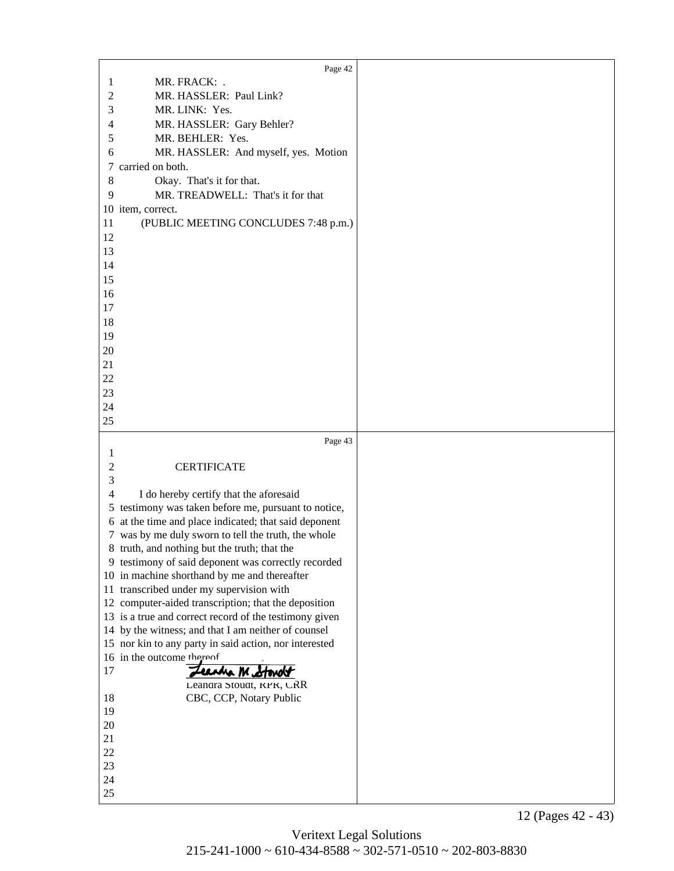<span id="page-15-0"></span>

|                | Page 42                                                |  |
|----------------|--------------------------------------------------------|--|
|                | MR. FRACK: .                                           |  |
| 1              |                                                        |  |
| 2              | MR. HASSLER: Paul Link?                                |  |
| 3              | MR. LINK: Yes.                                         |  |
| 4              | MR. HASSLER: Gary Behler?                              |  |
| 5              | MR. BEHLER: Yes.                                       |  |
| 6              | MR. HASSLER: And myself, yes. Motion                   |  |
| 7              | carried on both.                                       |  |
| 8              | Okay. That's it for that.                              |  |
| 9              | MR. TREADWELL: That's it for that                      |  |
|                | 10 item, correct.                                      |  |
| 11             |                                                        |  |
|                | (PUBLIC MEETING CONCLUDES 7:48 p.m.)                   |  |
| 12             |                                                        |  |
| 13             |                                                        |  |
| 14             |                                                        |  |
| 15             |                                                        |  |
| 16             |                                                        |  |
| 17             |                                                        |  |
| 18             |                                                        |  |
| 19             |                                                        |  |
| $20\,$         |                                                        |  |
| 21             |                                                        |  |
| 22             |                                                        |  |
| 23             |                                                        |  |
| 24             |                                                        |  |
| 25             |                                                        |  |
|                |                                                        |  |
|                |                                                        |  |
|                | Page 43                                                |  |
| 1              |                                                        |  |
| $\overline{c}$ | <b>CERTIFICATE</b>                                     |  |
| 3              |                                                        |  |
| $\overline{4}$ |                                                        |  |
|                | I do hereby certify that the aforesaid                 |  |
|                | 5 testimony was taken before me, pursuant to notice,   |  |
|                | 6 at the time and place indicated; that said deponent  |  |
|                | 7 was by me duly sworn to tell the truth, the whole    |  |
|                | 8 truth, and nothing but the truth; that the           |  |
|                | 9 testimony of said deponent was correctly recorded    |  |
|                | 10 in machine shorthand by me and thereafter           |  |
|                | 11 transcribed under my supervision with               |  |
|                | 12 computer-aided transcription; that the deposition   |  |
|                | 13 is a true and correct record of the testimony given |  |
|                | 14 by the witness; and that I am neither of counsel    |  |
|                | 15 nor kin to any party in said action, nor interested |  |
|                | 16 in the outcome thereof                              |  |
| 17             | Leandra Metonolt                                       |  |
|                | Leandra Stoudt, KPK, CRR                               |  |
| 18             | CBC, CCP, Notary Public                                |  |
| 19             |                                                        |  |
| 20             |                                                        |  |
| 21             |                                                        |  |
| 22             |                                                        |  |
| 23             |                                                        |  |
| 24<br>25       |                                                        |  |

12 (Pages 42 - 43)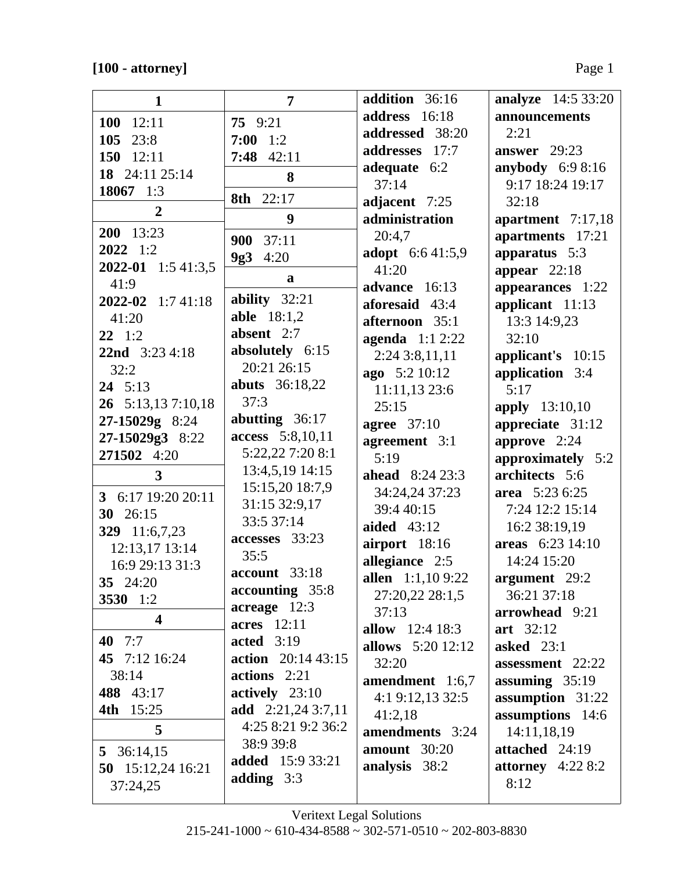| $\mathbf{1}$            | 7                                          | addition 36:16         | <b>analyze</b> 14:5 33:20 |
|-------------------------|--------------------------------------------|------------------------|---------------------------|
| $100$ 12:11             | 75 9:21                                    | address 16:18          | announcements             |
| 105 23:8                | $7:00$ 1:2                                 | addressed 38:20        | 2:21                      |
| 150 $12:11$             | $7:48$ 42:11                               | addresses 17:7         | answer $29:23$            |
| 18 24:11 25:14          | 8                                          | adequate 6:2           | anybody 6:9 8:16          |
| 18067 1:3               |                                            | 37:14                  | 9:17 18:24 19:17          |
| $\overline{2}$          | 8th 22:17                                  | adjacent 7:25          | 32:18                     |
|                         | 9                                          | administration         | apartment 7:17,18         |
| 200 13:23               | 37:11<br>900                               | 20:4,7                 | apartments 17:21          |
| $2022 \quad 1:2$        | 4:20<br>9g3                                | adopt 6:641:5,9        | apparatus 5:3             |
| 2022-01 1:5 41:3,5      | a                                          | 41:20                  | appear $22:18$            |
| 41:9                    |                                            | advance 16:13          | appearances 1:22          |
| 2022-02 1:7 41:18       | ability $32:21$                            | aforesaid 43:4         | applicant 11:13           |
| 41:20                   | <b>able</b> 18:1,2                         | afternoon 35:1         | 13:3 14:9,23              |
| $22 \t1:2$              | absent 2:7                                 | agenda $1:12:22$       | 32:10                     |
| <b>22nd</b> $3:234:18$  | absolutely 6:15                            | 2:243:8,11,11          | applicant's 10:15         |
| 32:2                    | 20:21 26:15                                | ago 5:2 10:12          | application 3:4           |
| $24 \quad 5:13$         | <b>abuts</b> 36:18,22<br>37:3              | 11:11,13 23:6          | 5:17                      |
| 26 5:13,13 7:10,18      |                                            | 25:15                  | <b>apply</b> 13:10,10     |
| 27-15029g 8:24          | abutting $36:17$                           | agree $37:10$          | appreciate 31:12          |
| 27-15029g3 8:22         | access 5:8,10,11<br>5:22,22 7:20 8:1       | agreement 3:1          | approve 2:24              |
| 271502 4:20             | 13:4,5,19 14:15                            | 5:19                   | approximately 5:2         |
| $\overline{3}$          |                                            | <b>ahead</b> 8:24 23:3 | architects 5:6            |
| 3 6:17 19:20 20:11      | 15:15,20 18:7,9<br>31:15 32:9,17           | 34:24,24 37:23         | area 5:23 6:25            |
| 30 26:15                | 33:5 37:14                                 | 39:4 40:15             | 7:24 12:2 15:14           |
| 329 11:6,7,23           | accesses 33:23                             | <b>aided</b> 43:12     | 16:2 38:19,19             |
| 12:13,17 13:14          | 35:5                                       | airport 18:16          | areas 6:23 14:10          |
| 16:9 29:13 31:3         | account 33:18                              | allegiance 2:5         | 14:24 15:20               |
| 35 24:20                |                                            | allen 1:1,109:22       | argument 29:2             |
| 3530 1:2                | accounting 35:8<br>$\arceq$ acreage $12:3$ | 27:20,22 28:1,5        | 36:21 37:18               |
| $\overline{\mathbf{4}}$ | <b>acres</b> 12:11                         | 37:13                  | arrowhead 9:21            |
| 40 $7:7$                | acted $3:19$                               | allow $12:418:3$       | art 32:12                 |
| 45 7:12 16:24           | action 20:14 43:15                         | allows 5:20 12:12      | asked $23:1$              |
| 38:14                   | $actions$ 2:21                             | 32:20                  | assessment 22:22          |
| 488 43:17               | actively 23:10                             | amendment 1:6,7        | assuming $35:19$          |
| <b>4th</b> 15:25        | add 2:21,24 3:7,11                         | 4:1 9:12,13 32:5       | assumption 31:22          |
| 5                       | 4:25 8:21 9:2 36:2                         | 41:2,18                | assumptions 14:6          |
|                         | 38:9 39:8                                  | amendments 3:24        | 14:11,18,19               |
| 5 36:14,15              | <b>added</b> 15:9 33:21                    | amount $30:20$         | attached 24:19            |
| 50 15:12,24 16:21       | adding $3:3$                               | analysis 38:2          | attorney $4:228:2$        |
| 37:24,25                |                                            |                        | 8:12                      |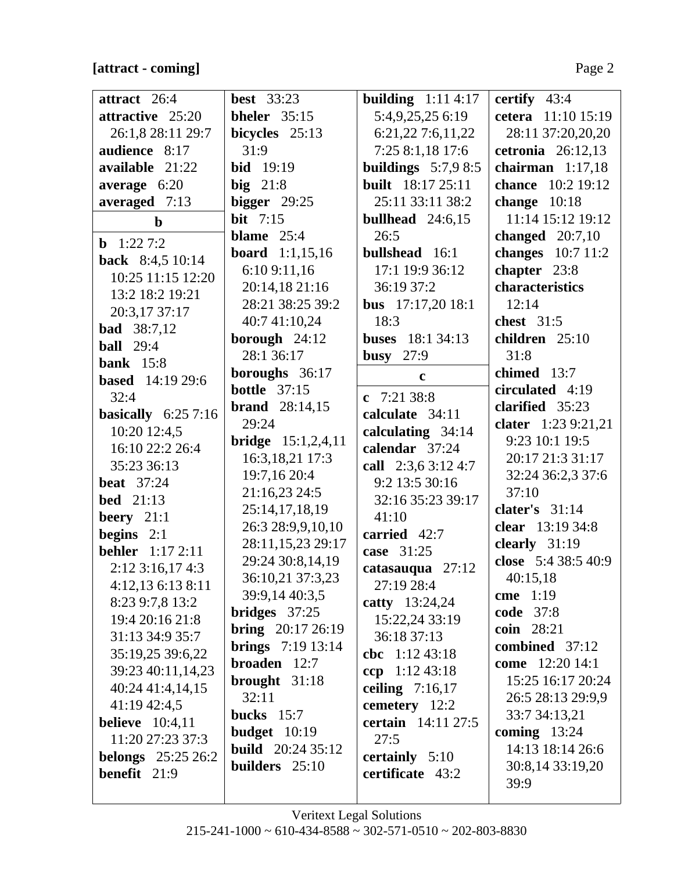# **[attract - coming]** Page 2

| attract 26:4              | <b>best</b> 33:23           | building $1:114:17$      | certify $43:4$      |
|---------------------------|-----------------------------|--------------------------|---------------------|
| attractive 25:20          | bheler $35:15$              | 5:4,9,25,25 6:19         | cetera 11:10 15:19  |
| 26:1,8 28:11 29:7         | bicycles $25:13$            | 6:21,22 7:6,11,22        | 28:11 37:20,20,20   |
| audience 8:17             | 31:9                        | 7:25 8:1,18 17:6         | cetronia $26:12,13$ |
| available 21:22           | <b>bid</b> 19:19            | buildings $5:7,98:5$     | chairman $1:17,18$  |
| average 6:20              | big $21:8$                  | <b>built</b> 18:17 25:11 | chance 10:2 19:12   |
| averaged 7:13             | bigger $29:25$              | 25:11 33:11 38:2         | change $10:18$      |
| $\mathbf b$               | bit $7:15$                  | bullhead $24:6,15$       | 11:14 15:12 19:12   |
| <b>b</b> $1:227:2$        | blame $25:4$                | 26:5                     | changed $20:7,10$   |
| <b>back</b> 8:4,5 10:14   | <b>board</b> $1:1,15,16$    | <b>bullshead</b> 16:1    | changes $10:7$ 11:2 |
| 10:25 11:15 12:20         | 6:10 9:11,16                | 17:1 19:9 36:12          | chapter 23:8        |
| 13:2 18:2 19:21           | 20:14,18 21:16              | 36:19 37:2               | characteristics     |
| 20:3,17 37:17             | 28:21 38:25 39:2            | <b>bus</b> 17:17,20 18:1 | 12:14               |
| <b>bad</b> 38:7,12        | 40:7 41:10,24               | 18:3                     | chest $31:5$        |
| <b>ball</b> 29:4          | borough $24:12$             | <b>buses</b> 18:1 34:13  | children 25:10      |
| bank $15:8$               | 28:1 36:17                  | busy $27:9$              | 31:8                |
| <b>based</b> 14:19 29:6   | boroughs 36:17              | $\mathbf{c}$             | chimed 13:7         |
| 32:4                      | <b>bottle</b> 37:15         | c $7:2138:8$             | circulated 4:19     |
| basically $6:257:16$      | <b>brand</b> $28:14,15$     | calculate 34:11          | clarified 35:23     |
| 10:20 12:4,5              | 29:24                       | calculating $34:14$      | clater 1:23 9:21,21 |
| 16:10 22:2 26:4           | <b>bridge</b> $15:1,2,4,11$ | calendar 37:24           | 9:23 10:1 19:5      |
| 35:23 36:13               | 16:3, 18, 21 17:3           | call 2:3,6 3:12 4:7      | 20:17 21:3 31:17    |
| <b>beat</b> 37:24         | 19:7,16 20:4                | 9:2 13:5 30:16           | 32:24 36:2,3 37:6   |
| bed $21:13$               | 21:16,23 24:5               | 32:16 35:23 39:17        | 37:10               |
| beery $21:1$              | 25:14,17,18,19              | 41:10                    | clater's $31:14$    |
| begins $2:1$              | 26:3 28:9,9,10,10           | carried 42:7             | clear 13:19 34:8    |
| <b>behler</b> $1:172:11$  | 28:11,15,23 29:17           | case 31:25               | clearly 31:19       |
| 2:12 3:16,17 4:3          | 29:24 30:8,14,19            | catasauqua 27:12         | close 5:4 38:5 40:9 |
| 4:12,13 6:13 8:11         | 36:10,21 37:3,23            | 27:19 28:4               | 40:15,18            |
| 8:23 9:7,8 13:2           | 39:9,14 40:3,5              | catty 13:24,24           | cme 1:19            |
| 19:4 20:16 21:8           | $bridges$ 37:25             | 15:22,24 33:19           | <b>code</b> 37:8    |
| 31:13 34:9 35:7           | <b>bring</b> $20:1726:19$   | 36:18 37:13              | coin 28:21          |
| 35:19,25 39:6,22          | <b>brings</b> $7:1913:14$   | cbc $1:12\,43:18$        | combined 37:12      |
| 39:23 40:11,14,23         | <b>broaden</b> 12:7         | ccp 1:12 43:18           | come 12:20 14:1     |
| 40:24 41:4,14,15          | brought $31:18$             | ceiling $7:16,17$        | 15:25 16:17 20:24   |
| 41:19 42:4,5              | 32:11                       | cemetery 12:2            | 26:5 28:13 29:9,9   |
| <b>believe</b> 10:4,11    | bucks $15:7$                | certain 14:11 27:5       | 33:7 34:13,21       |
| 11:20 27:23 37:3          | budget $10:19$              | 27:5                     | coming $13:24$      |
| <b>belongs</b> 25:25 26:2 | <b>build</b> 20:24 35:12    | certainly $5:10$         | 14:13 18:14 26:6    |
| benefit 21:9              | builders $25:10$            | certificate 43:2         | 30:8,14 33:19,20    |
|                           |                             |                          | 39:9                |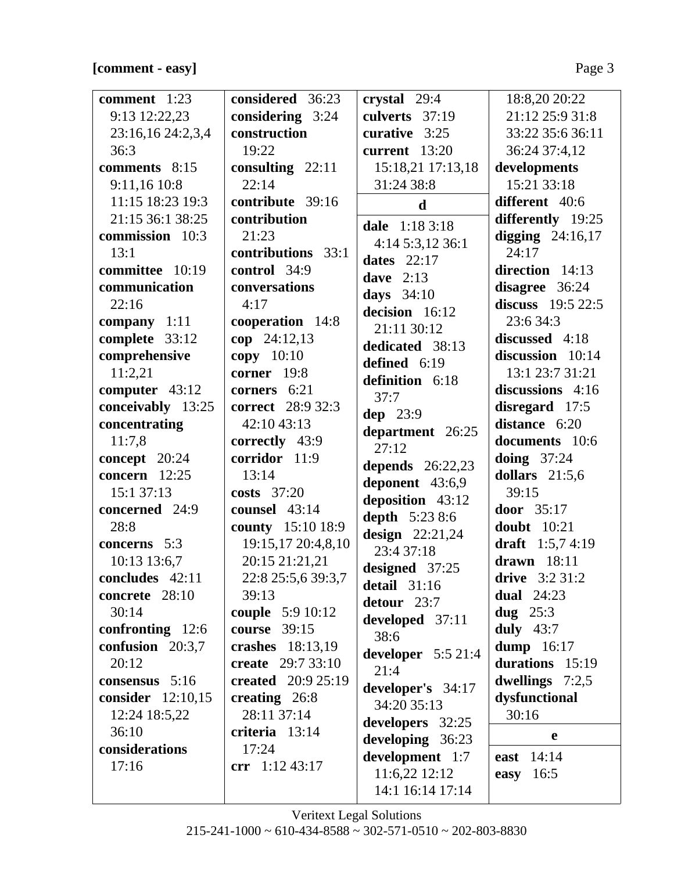# **[comment - easy]** Page 3

| comment $1:23$            | considered 36:23            | crystal 29:4          | 18:8,20 20:22                        |
|---------------------------|-----------------------------|-----------------------|--------------------------------------|
| 9:13 12:22,23             | considering 3:24            | culverts 37:19        | 21:12 25:9 31:8                      |
| 23:16,16 24:2,3,4         | construction                | curative $3:25$       | 33:22 35:6 36:11                     |
| 36:3                      | 19:22                       | current 13:20         | 36:24 37:4,12                        |
| comments 8:15             | consulting $22:11$          | 15:18,21 17:13,18     | developments                         |
| 9:11,16 10:8              | 22:14                       | 31:24 38:8            | 15:21 33:18                          |
| 11:15 18:23 19:3          | contribute 39:16            | $\mathbf d$           | different 40:6                       |
| 21:15 36:1 38:25          | contribution                |                       | differently 19:25                    |
| commission 10:3           | 21:23                       | dale 1:18 3:18        | digging $24:16,17$                   |
| 13:1                      | contributions 33:1          | 4:14 5:3,12 36:1      | 24:17                                |
| committee 10:19           | control 34:9                | dates $22:17$         | direction 14:13                      |
| communication             | conversations               | dave $2:13$           | disagree 36:24                       |
| 22:16                     | 4:17                        | days $34:10$          | discuss $19:522:5$                   |
| company 1:11              | cooperation 14:8            | decision 16:12        | 23:6 34:3                            |
| complete 33:12            | $cop$ 24:12,13              | 21:11 30:12           | discussed 4:18                       |
| comprehensive             | $copy$ 10:10                | dedicated 38:13       | discussion 10:14                     |
| 11:2,21                   | corner 19:8                 | defined 6:19          | 13:1 23:7 31:21                      |
| computer 43:12            | corners 6:21                | definition 6:18       | discussions 4:16                     |
| conceivably 13:25         | <b>correct</b> 28:9 32:3    | 37:7                  | disregard 17:5                       |
| concentrating             | 42:10 43:13                 | dep 23:9              | distance 6:20                        |
| 11:7,8                    | correctly 43:9              | department 26:25      | documents 10:6                       |
| concept 20:24             | corridor 11:9               | 27:12                 | doing $37:24$                        |
| concern $12:25$           | 13:14                       | depends $26:22,23$    | dollars $21:5,6$                     |
| 15:1 37:13                | costs $37:20$               | deponent 43:6,9       | 39:15                                |
| concerned 24:9            | counsel 43:14               | deposition 43:12      | door 35:17                           |
| 28:8                      | county 15:10 18:9           | <b>depth</b> 5:23 8:6 | <b>doubt</b> 10:21                   |
| concerns 5:3              | 19:15,17 20:4,8,10          | design $22:21,24$     | draft $1:5,74:19$                    |
|                           | 20:15 21:21,21              | 23:4 37:18            | drawn $18:11$                        |
| 10:13 13:6,7              |                             | designed 37:25        |                                      |
| concludes 42:11           | 22:8 25:5,6 39:3,7<br>39:13 | detail $31:16$        | drive $3:231:2$<br><b>dual</b> 24:23 |
| concrete $28:10$<br>30:14 | couple 5:9 10:12            | detour 23:7           | dug $25:3$                           |
| confronting $12:6$        | <b>course</b> 39:15         | developed 37:11       | duly $43:7$                          |
|                           |                             | 38:6                  |                                      |
| confusion 20:3,7          | crashes 18:13,19            | developer $5:521:4$   | dump 16:17                           |
| 20:12                     | create 29:7 33:10           | 21:4                  | durations 15:19                      |
| consensus 5:16            | created $20:9 25:19$        | developer's 34:17     | dwellings $7:2,5$                    |
| consider 12:10,15         | creating 26:8               | 34:20 35:13           | dysfunctional                        |
| 12:24 18:5,22             | 28:11 37:14                 | developers 32:25      | 30:16                                |
| 36:10                     | criteria 13:14              | developing 36:23      | $\mathbf e$                          |
| considerations            | 17:24                       | development 1:7       | east 14:14                           |
| 17:16                     | crr $1:12\,43:17$           | $11:6,22$ $12:12$     | easy $16:5$                          |
|                           |                             | 14:1 16:14 17:14      |                                      |
|                           |                             |                       |                                      |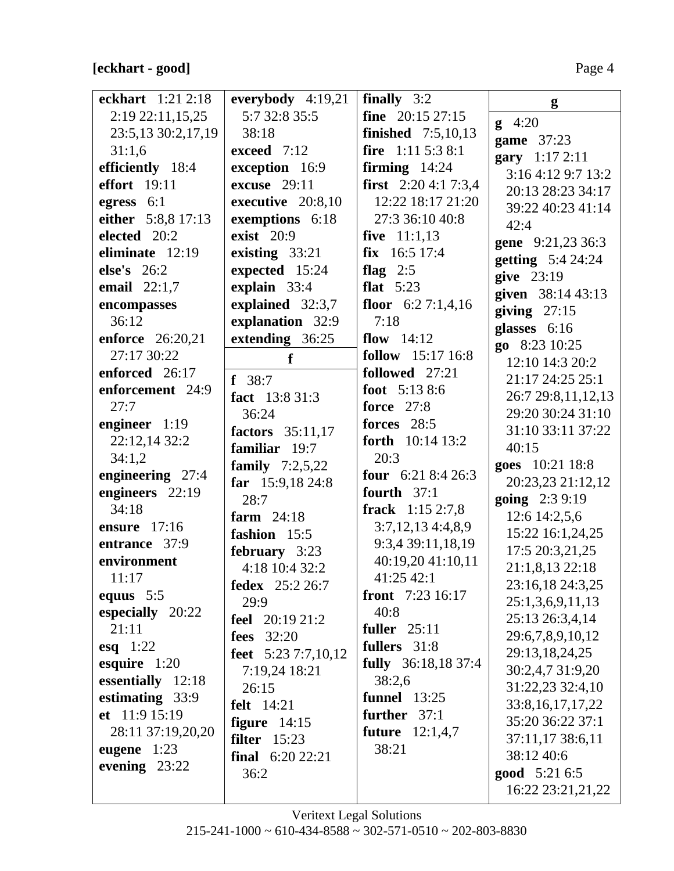### **[eckhart - good]** Page 4

| eckhart 1:21 2:18   | everybody $4:19,21$      | finally $3:2$               | g                        |
|---------------------|--------------------------|-----------------------------|--------------------------|
| $2:19\,22:11,15,25$ | 5:7 32:8 35:5            | fine $20:15\,27:15$         | $g \quad 4:20$           |
| 23:5,13 30:2,17,19  | 38:18                    | <b>finished</b> $7:5,10,13$ | game 37:23               |
| 31:1,6              | exceed 7:12              | fire $1:115:38:1$           | gary 1:17 2:11           |
| efficiently 18:4    | exception 16:9           | firming $14:24$             | 3:16 4:12 9:7 13:2       |
| <b>effort</b> 19:11 | <b>excuse</b> 29:11      | <b>first</b> $2:204:17:3,4$ | 20:13 28:23 34:17        |
| egress 6:1          | executive 20:8,10        | 12:22 18:17 21:20           | 39:22 40:23 41:14        |
| either 5:8,8 17:13  | exemptions 6:18          | 27:3 36:10 40:8             | 42:4                     |
| elected 20:2        | <b>exist</b> 20:9        | five $11:1,13$              | gene 9:21,23 36:3        |
| eliminate 12:19     | existing 33:21           | $fix$ 16:5 17:4             | <b>getting</b> 5:4 24:24 |
| else's $26:2$       | expected 15:24           | flag $2:5$                  | give 23:19               |
| email $22:1,7$      | explain 33:4             | flat $5:23$                 | given 38:14 43:13        |
| encompasses         | explained 32:3,7         | floor $6:27:1,4,16$         | giving $27:15$           |
| 36:12               | explanation 32:9         | 7:18                        | glasses 6:16             |
| enforce 26:20,21    | extending 36:25          | flow $14:12$                | go 8:23 10:25            |
| 27:17 30:22         | f                        | follow 15:17 16:8           | 12:10 14:3 20:2          |
| enforced 26:17      | $f$ 38:7                 | followed 27:21              | 21:17 24:25 25:1         |
| enforcement 24:9    | fact 13:8 31:3           | foot $5:138:6$              | 26:7 29:8,11,12,13       |
| 27:7                | 36:24                    | <b>force</b> 27:8           | 29:20 30:24 31:10        |
| engineer 1:19       | factors 35:11,17         | forces 28:5                 | 31:10 33:11 37:22        |
| 22:12,14 32:2       | familiar 19:7            | forth 10:14 13:2            | 40:15                    |
| 34:1,2              | <b>family</b> $7:2,5,22$ | 20:3                        | goes 10:21 18:8          |
| engineering 27:4    | far $15:9,1824:8$        | <b>four</b> $6:218:426:3$   | 20:23,23 21:12,12        |
| engineers 22:19     | 28:7                     | fourth $37:1$               | going 2:3 9:19           |
| 34:18               | farm $24:18$             | frack $1:152:7,8$           | 12:6 14:2,5,6            |
| ensure 17:16        | fashion 15:5             | 3:7,12,134:3,8,9            | 15:22 16:1,24,25         |
| entrance 37:9       | february 3:23            | 9:3,4 39:11,18,19           | 17:5 20:3,21,25          |
| environment         | 4:18 10:4 32:2           | 40:19,20 41:10,11           | 21:1,8,13 22:18          |
| 11:17               | <b>fedex</b> 25:2 26:7   | 41:25 42:1                  | 23:16,18 24:3,25         |
| equus $5:5$         | 29:9                     | front 7:23 16:17            | 25:1,3,6,9,11,13         |
| especially 20:22    | <b>feel</b> 20:19 21:2   | 40:8                        | 25:13 26:3,4,14          |
| 21:11               | <b>fees</b> 32:20        | <b>fuller</b> 25:11         | 29:6,7,8,9,10,12         |
| esq $1:22$          | feet $5:237:7,10,12$     | fullers 31:8                | 29:13,18,24,25           |
| esquire $1:20$      | 7:19,24 18:21            | fully 36:18,18 37:4         | 30:2,4,7 31:9,20         |
| essentially 12:18   | 26:15                    | 38:2,6                      | 31:22,23 32:4,10         |
| estimating 33:9     | <b>felt</b> 14:21        | <b>funnel</b> 13:25         | 33:8, 16, 17, 17, 22     |
| et 11:9 15:19       | figure $14:15$           | further 37:1                | 35:20 36:22 37:1         |
| 28:11 37:19,20,20   | filter $15:23$           | <b>future</b> $12:1,4,7$    | 37:11,17 38:6,11         |
| eugene $1:23$       | final $6:2022:21$        | 38:21                       | 38:12 40:6               |
| evening $23:22$     | 36:2                     |                             | <b>good</b> 5:21 6:5     |
|                     |                          |                             | 16:22 23:21,21,22        |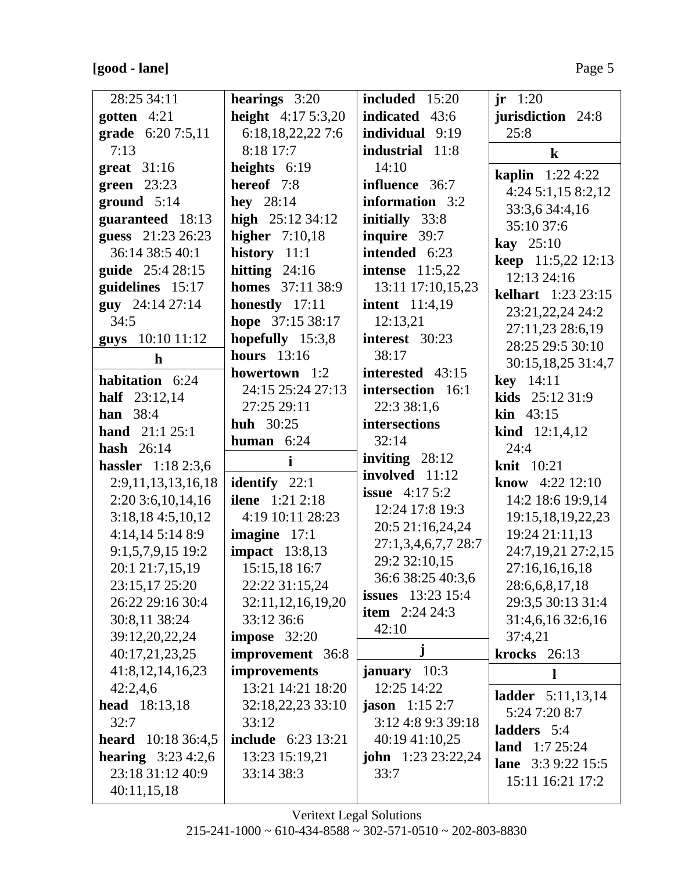# **[good - lane]** Page 5

| 28:25 34:11<br>gotten $4:21$     | hearings $3:20$<br>height $4:175:3,20$ | included 15:20<br><b>indicated</b> 43:6 | jr 1:20<br>jurisdiction 24:8    |
|----------------------------------|----------------------------------------|-----------------------------------------|---------------------------------|
| grade 6:20 7:5,11                | 6:18,18,22,22 7:6                      | individual 9:19                         | 25:8                            |
| 7:13                             | 8:18 17:7                              | industrial 11:8                         | $\bf k$                         |
| great $31:16$                    | heights $6:19$                         | 14:10                                   |                                 |
| green $23:23$                    | hereof 7:8                             | influence 36:7                          | <b>kaplin</b> 1:22 4:22         |
| ground $5:14$                    | hey $28:14$                            | information 3:2                         | 4:24 5:1,15 8:2,12              |
| guaranteed 18:13                 | high 25:12 34:12                       | initially 33:8                          | 33:3,6 34:4,16                  |
| guess 21:23 26:23                | higher $7:10,18$                       | inquire 39:7                            | 35:10 37:6                      |
| 36:14 38:5 40:1                  | history $11:1$                         | intended 6:23                           | <b>kay</b> $25:10$              |
| guide 25:4 28:15                 | hitting $24:16$                        | <b>intense</b> 11:5,22                  | keep 11:5,22 12:13              |
| guidelines 15:17                 | <b>homes</b> 37:11 38:9                | 13:11 17:10,15,23                       | 12:13 24:16                     |
| guy 24:14 27:14                  | honestly 17:11                         | <b>intent</b> 11:4,19                   | <b>kelhart</b> 1:23 23:15       |
| 34:5                             | hope 37:15 38:17                       | 12:13,21                                | 23:21,22,24 24:2                |
| guys 10:10 11:12                 | hopefully 15:3,8                       | interest 30:23                          | 27:11,23 28:6,19                |
| $\mathbf h$                      | hours $13:16$                          | 38:17                                   | 28:25 29:5 30:10                |
|                                  | howertown 1:2                          | interested 43:15                        | 30:15,18,25 31:4,7              |
| habitation 6:24                  | 24:15 25:24 27:13                      | intersection 16:1                       | <b>key</b> $14:11$              |
| half 23:12,14<br><b>han</b> 38:4 | 27:25 29:11                            | 22:3 38:1,6                             | <b>kids</b> $25:1231:9$         |
| hand $21:125:1$                  | <b>huh</b> 30:25                       | intersections                           | <b>kin</b> $43:15$              |
| hash $26:14$                     | human $6:24$                           | 32:14                                   | <b>kind</b> $12:1,4,12$<br>24:4 |
| <b>hassler</b> 1:18 2:3,6        | $\mathbf{i}$                           | inviting $28:12$                        | <b>knit</b> 10:21               |
| 2:9,11,13,13,16,18               | identify 22:1                          | involved 11:12                          | <b>know</b> $4:22$ 12:10        |
| 2:20 3:6, 10, 14, 16             | <b>ilene</b> 1:21 2:18                 | <b>issue</b> $4:175:2$                  | 14:2 18:6 19:9,14               |
| 3:18,184:5,10,12                 | 4:19 10:11 28:23                       | 12:24 17:8 19:3                         | 19:15,18,19,22,23               |
| 4:14,145:148:9                   | imagine 17:1                           | 20:5 21:16,24,24                        | 19:24 21:11,13                  |
| 9:1,5,7,9,15 19:2                | <b>impact</b> 13:8,13                  | 27:1,3,4,6,7,7 28:7                     | 24:7,19,21 27:2,15              |
| 20:1 21:7,15,19                  | 15:15,18 16:7                          | 29:2 32:10,15                           | 27:16,16,16,18                  |
| 23:15,17 25:20                   | 22:22 31:15,24                         | 36:6 38:25 40:3,6                       | 28:6,6,8,17,18                  |
| 26:22 29:16 30:4                 | 32:11,12,16,19,20                      | <b>issues</b> 13:23 15:4                | 29:3,5 30:13 31:4               |
| 30:8,11 38:24                    | 33:12 36:6                             | <b>item</b> $2:24\,24:3$                | 31:4,6,16 32:6,16               |
| 39:12,20,22,24                   | impose $32:20$                         | 42:10                                   | 37:4,21                         |
| 40:17,21,23,25                   | improvement 36:8                       | j                                       | <b>krocks</b> 26:13             |
| 41:8,12,14,16,23                 | improvements                           | january 10:3                            | ш                               |
| 42:2,4,6                         | 13:21 14:21 18:20                      | 12:25 14:22                             |                                 |
| <b>head</b> 18:13,18             | 32:18,22,23 33:10                      | <b>jason</b> $1:152:7$                  | <b>ladder</b> 5:11,13,14        |
| 32:7                             | 33:12                                  | 3:12 4:8 9:3 39:18                      | 5:24 7:20 8:7                   |
| <b>heard</b> $10:1836:4,5$       | <b>include</b> 6:23 13:21              | 40:19 41:10,25                          | ladders 5:4                     |
| <b>hearing</b> $3:23\,4:2,6$     | 13:23 15:19,21                         | <b>john</b> $1:23 23:22,24$             | land $1:725:24$                 |
| 23:18 31:12 40:9                 | 33:14 38:3                             | 33:7                                    | lane 3:3 9:22 15:5              |
| 40:11,15,18                      |                                        |                                         | 15:11 16:21 17:2                |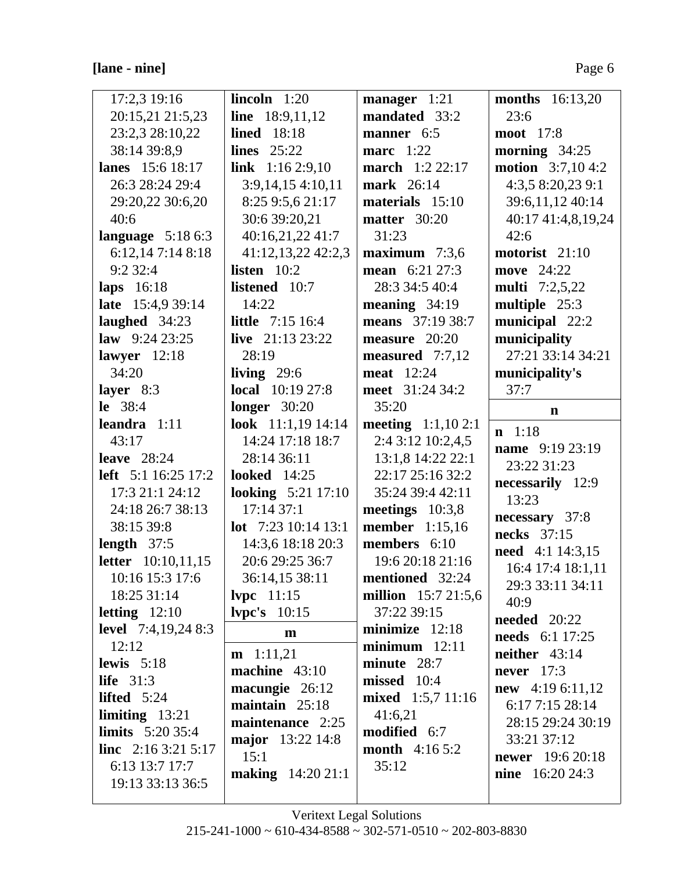# **[lane - nine]** Page 6

| 17:2,3 19:16               | lincoh 1:20                        | manager 1:21               | <b>months</b> 16:13,20                     |
|----------------------------|------------------------------------|----------------------------|--------------------------------------------|
| 20:15,21 21:5,23           | line $18:9,11,12$                  | mandated 33:2              | 23:6                                       |
| 23:2,3 28:10,22            | <b>lined</b> 18:18                 | manner 6:5                 | <b>moot</b> 17:8                           |
| 38:14 39:8,9               | lines $25:22$                      | marc $1:22$                | morning $34:25$                            |
| <b>lanes</b> 15:6 18:17    | link $1:162:9,10$                  | <b>march</b> 1:2 22:17     | <b>motion</b> $3:7,104:2$                  |
| 26:3 28:24 29:4            | 3:9,14,154:10,11                   | <b>mark</b> 26:14          | 4:3,5 8:20,23 9:1                          |
| 29:20,22 30:6,20           | 8:25 9:5,6 21:17                   | materials 15:10            | 39:6,11,12 40:14                           |
| 40:6                       | 30:6 39:20,21                      | matter 30:20               | 40:17 41:4,8,19,24                         |
| language $5:186:3$         | 40:16,21,22 41:7                   | 31:23                      | 42:6                                       |
| 6:12,147:148:18            | 41:12,13,22 42:2,3                 | maximum $7:3,6$            | motorist 21:10                             |
| 9:232:4                    | listen $10:2$                      | mean 6:21 27:3             | <b>move</b> 24:22                          |
| laps 16:18                 | listened 10:7                      | 28:3 34:5 40:4             | <b>multi</b> 7:2,5,22                      |
| late 15:4,9 39:14          | 14:22                              | meaning $34:19$            | multiple 25:3                              |
| laughed 34:23              | <b>little</b> 7:15 16:4            | means 37:19 38:7           | municipal 22:2                             |
| law $9:2423:25$            | live $21:1323:22$                  | measure $20:20$            | municipality                               |
| lawyer $12:18$             | 28:19                              | measured 7:7,12            | 27:21 33:14 34:21                          |
| 34:20                      | living $29:6$                      | <b>meat</b> 12:24          | municipality's                             |
| layer $8:3$                | <b>local</b> 10:19 27:8            | meet 31:24 34:2            | 37:7                                       |
| le 38:4                    | longer $30:20$                     | 35:20                      | n                                          |
| leandra $1:11$             | look $11:1,19$ 14:14               | <b>meeting</b> $1:1,102:1$ | $n \quad 1:18$                             |
| 43:17                      | 14:24 17:18 18:7                   | 2:4 3:12 10:2,4,5          |                                            |
| leave $28:24$              | 28:14 36:11                        | 13:1,8 14:22 22:1          | name 9:19 23:19<br>23:22 31:23             |
| <b>left</b> 5:1 16:25 17:2 | <b>looked</b> 14:25                | 22:17 25:16 32:2           |                                            |
| 17:3 21:1 24:12            | <b>looking</b> 5:21 17:10          | 35:24 39:4 42:11           | necessarily 12:9                           |
| 24:18 26:7 38:13           | 17:14 37:1                         | meetings $10:3,8$          | 13:23                                      |
| 38:15 39:8                 | <b>lot</b> $7:2310:1413:1$         | <b>member</b> 1:15,16      | necessary 37:8<br>necks 37:15              |
| length $37:5$              | 14:3,6 18:18 20:3                  | members 6:10               |                                            |
| <b>letter</b> 10:10,11,15  | 20:6 29:25 36:7                    | 19:6 20:18 21:16           | <b>need</b> 4:1 14:3,15                    |
| 10:16 15:3 17:6            | 36:14,15 38:11                     | mentioned 32:24            | 16:4 17:4 18:1,11                          |
| 18:25 31:14                | 11:15                              | million 15:7 21:5,6        | 29:3 33:11 34:11                           |
| letting $12:10$            | lvpc's $10:15$                     | 37:22 39:15                | 40:9                                       |
| <b>level</b> 7:4,19,24 8:3 | m                                  | minimize $12:18$           | <b>needed</b> 20:22                        |
| 12:12                      |                                    | $minimum$ 12:11            | needs 6:1 17:25                            |
| lewis $5:18$               | $m$ 1:11,21                        | minute 28:7                | neither $43:14$                            |
| life $31:3$                | machine $43:10$                    | missed 10:4                | never $17:3$                               |
| lifted $5:24$              | macungie 26:12<br>maintain $25:18$ | mixed 1:5,7 11:16          | <b>new</b> 4:19 6:11,12<br>6:17 7:15 28:14 |
| limiting $13:21$           |                                    | 41:6,21                    |                                            |
| <b>limits</b> $5:2035:4$   | maintenance 2:25                   | modified 6:7               | 28:15 29:24 30:19                          |
| <b>line</b> $2:163:215:17$ | major 13:22 14:8                   | <b>month</b> 4:16 5:2      | 33:21 37:12                                |
| 6:13 13:7 17:7             | 15:1                               | 35:12                      | <b>newer</b> 19:6 20:18                    |
| 19:13 33:13 36:5           | <b>making</b> 14:20 21:1           |                            | <b>nine</b> $16:2024:3$                    |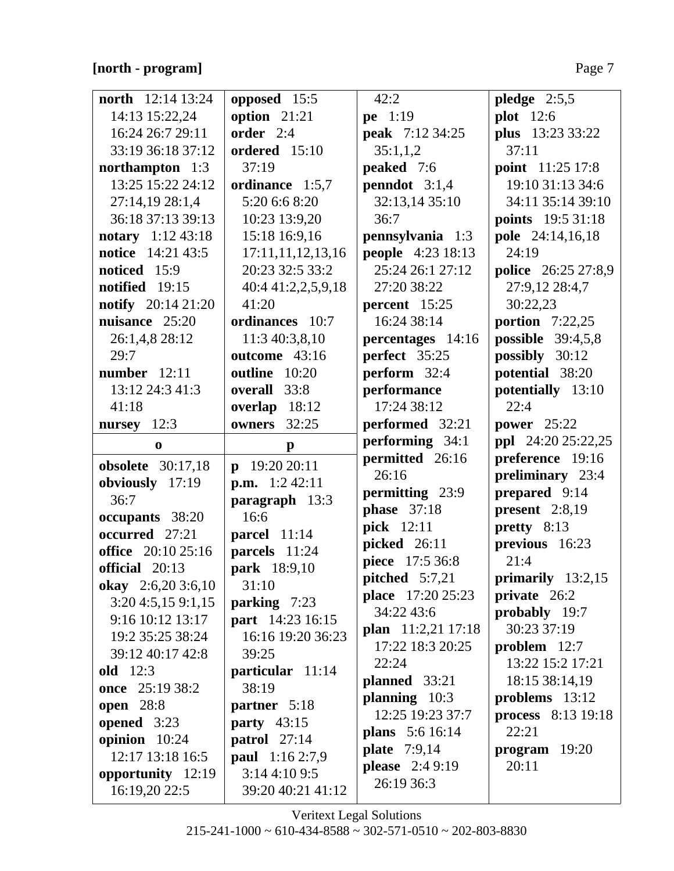### **[north - program]** Page 7

| <b>north</b> 12:14 13:24    | opposed 15:5           | 42:2                                   | pledge $2:5,5$                |
|-----------------------------|------------------------|----------------------------------------|-------------------------------|
| 14:13 15:22,24              | option $21:21$         | pe 1:19                                | <b>plot</b> 12:6              |
| 16:24 26:7 29:11            | order $2:4$            | <b>peak</b> 7:12 34:25                 | plus 13:23 33:22              |
| 33:19 36:18 37:12           | ordered 15:10          | 35:1,1,2                               | 37:11                         |
| northampton 1:3             | 37:19                  | peaked 7:6                             | <b>point</b> 11:25 17:8       |
| 13:25 15:22 24:12           | ordinance 1:5,7        | penndot $3:1,4$                        | 19:10 31:13 34:6              |
| 27:14,19 28:1,4             | 5:20 6:6 8:20          | 32:13,14 35:10                         | 34:11 35:14 39:10             |
| 36:18 37:13 39:13           | 10:23 13:9,20          | 36:7                                   | points 19:5 31:18             |
| <b>notary</b> $1:12\,43:18$ | 15:18 16:9,16          | pennsylvania 1:3                       | <b>pole</b> 24:14,16,18       |
| <b>notice</b> 14:21 43:5    | 17:11,11,12,13,16      | <b>people</b> 4:23 18:13               | 24:19                         |
| noticed 15:9                | 20:23 32:5 33:2        | 25:24 26:1 27:12                       | <b>police</b> 26:25 27:8,9    |
| notified 19:15              | 40:4 41:2,2,5,9,18     | 27:20 38:22                            | 27:9,12 28:4,7                |
| <b>notify</b> 20:14 21:20   | 41:20                  | percent $15:25$                        | 30:22,23                      |
| nuisance 25:20              | ordinances 10:7        | 16:24 38:14                            | portion $7:22,25$             |
| 26:1,4,8 28:12              | 11:3 40:3,8,10         | percentages 14:16                      | <b>possible</b> 39:4,5,8      |
| 29:7                        | outcome 43:16          | perfect 35:25                          | possibly 30:12                |
| <b>number</b> 12:11         | outline 10:20          | perform 32:4                           | potential 38:20               |
| 13:12 24:3 41:3             | overall 33:8           | performance                            | potentially 13:10             |
| 41:18                       | overlap 18:12          | 17:24 38:12                            | 22:4                          |
| nursey 12:3                 | owners 32:25           | performed 32:21                        | <b>power</b> 25:22            |
| $\mathbf{0}$                | $\mathbf{p}$           | performing 34:1                        | ppl 24:20 25:22,25            |
| <b>obsolete</b> 30:17,18    | $p$ 19:20 20:11        | permitted 26:16                        | preference 19:16              |
| obviously 17:19             | <b>p.m.</b> $1:242:11$ | 26:16                                  | preliminary 23:4              |
| 36:7                        | paragraph 13:3         | permitting 23:9                        | prepared 9:14                 |
| occupants 38:20             | 16:6                   | <b>phase</b> 37:18                     | present $2:8,19$              |
| occurred 27:21              | parcel 11:14           | pick 12:11                             | pretty 8:13                   |
| <b>office</b> 20:10 25:16   | parcels 11:24          | picked 26:11                           | previous 16:23                |
| official 20:13              | park 18:9,10           | piece 17:5 36:8                        | 21:4                          |
| okay 2:6,20 3:6,10          | 31:10                  | pitched $5:7,21$                       | primarily $13:2,15$           |
| 3:20 4:5,15 9:1,15          | parking 7:23           | <b>place</b> 17:20 25:23<br>34:22 43:6 | private 26:2<br>probably 19:7 |
| 9:16 10:12 13:17            | part 14:23 16:15       | plan 11:2,21 17:18                     | 30:23 37:19                   |
| 19:2 35:25 38:24            | 16:16 19:20 36:23      | 17:22 18:3 20:25                       | problem 12:7                  |
| 39:12 40:17 42:8            | 39:25                  | 22:24                                  | 13:22 15:2 17:21              |
| <b>old</b> 12:3             | particular 11:14       | planned 33:21                          | 18:15 38:14,19                |
| once 25:19 38:2             | 38:19                  | planning 10:3                          | problems 13:12                |
| <b>open</b> 28:8            | partner 5:18           | 12:25 19:23 37:7                       | <b>process</b> 8:13 19:18     |
| opened $3:23$               | party $43:15$          | <b>plans</b> 5:6 16:14                 | 22:21                         |
| opinion 10:24               | patrol $27:14$         | <b>plate</b> 7:9,14                    | $program$ 19:20               |
| 12:17 13:18 16:5            | paul 1:16 2:7,9        | <b>please</b> 2:4 9:19                 | 20:11                         |
| opportunity 12:19           | 3:144:109:5            | 26:19 36:3                             |                               |
| 16:19,20 22:5               | 39:20 40:21 41:12      |                                        |                               |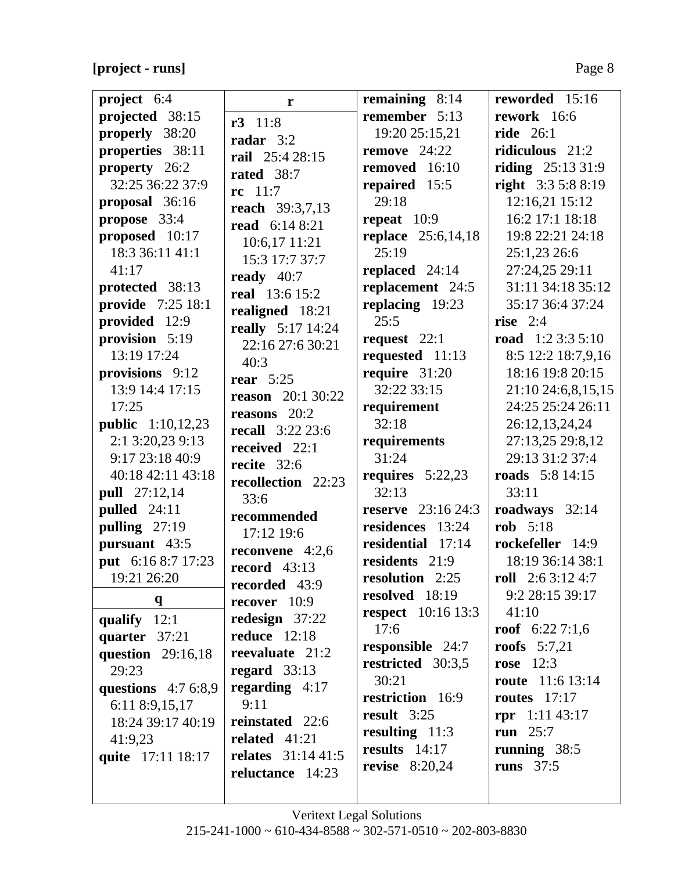**[project - runs]** Page 8

| project 6:4              | r                                        | remaining $8:14$          | reworded 15:16            |
|--------------------------|------------------------------------------|---------------------------|---------------------------|
| projected 38:15          | $r3$ 11:8                                | remember 5:13             | rework 16:6               |
| properly 38:20           | radar $3:2$                              | 19:20 25:15,21            | <b>ride</b> 26:1          |
| properties 38:11         | rail 25:4 28:15                          | remove $24:22$            | ridiculous 21:2           |
| property 26:2            | rated 38:7                               | removed 16:10             | riding $25:1331:9$        |
| 32:25 36:22 37:9         | $rc \ 11:7$                              | repaired 15:5             | <b>right</b> 3:3 5:8 8:19 |
| proposal 36:16           |                                          | 29:18                     | 12:16,21 15:12            |
| propose 33:4             | <b>reach</b> 39:3,7,13<br>read 6:14 8:21 | repeat $10:9$             | 16:2 17:1 18:18           |
| proposed 10:17           |                                          | <b>replace</b> 25:6,14,18 | 19:8 22:21 24:18          |
| 18:3 36:11 41:1          | 10:6,17 11:21                            | 25:19                     | 25:1,23 26:6              |
| 41:17                    | 15:3 17:7 37:7                           | replaced 24:14            | 27:24,25 29:11            |
| protected 38:13          | ready $40:7$                             | replacement 24:5          | 31:11 34:18 35:12         |
| provide 7:25 18:1        | <b>real</b> 13:6 15:2                    | replacing 19:23           | 35:17 36:4 37:24          |
| provided 12:9            | realigned 18:21                          | 25:5                      | rise $2:4$                |
| provision 5:19           | really 5:17 14:24                        | request $22:1$            | road $1:23:35:10$         |
| 13:19 17:24              | 22:16 27:6 30:21                         | requested 11:13           | 8:5 12:2 18:7,9,16        |
| provisions 9:12          | 40:3                                     | require 31:20             | 18:16 19:8 20:15          |
| 13:9 14:4 17:15          | rear $5:25$                              | 32:22 33:15               | 21:10 24:6,8,15,15        |
|                          | <b>reason</b> 20:1 30:22                 |                           |                           |
| 17:25                    | reasons $20:2$                           | requirement               | 24:25 25:24 26:11         |
| <b>public</b> 1:10,12,23 | <b>recall</b> 3:22 23:6                  | 32:18                     | 26:12,13,24,24            |
| 2:1 3:20,23 9:13         | received 22:1                            | requirements              | 27:13,25 29:8,12          |
| 9:17 23:18 40:9          | recite 32:6                              | 31:24                     | 29:13 31:2 37:4           |
| 40:18 42:11 43:18        | recollection 22:23                       | requires $5:22,23$        | <b>roads</b> 5:8 14:15    |
| <b>pull</b> 27:12,14     | 33:6                                     | 32:13                     | 33:11                     |
| pulled $24:11$           | recommended                              | <b>reserve</b> 23:16 24:3 | roadways 32:14            |
| pulling 27:19            | 17:12 19:6                               | residences 13:24          | rob $5:18$                |
| pursuant 43:5            | reconvene $4:2,6$                        | residential 17:14         | rockefeller 14:9          |
| put 6:16 8:7 17:23       | record $43:13$                           | residents 21:9            | 18:19 36:14 38:1          |
| 19:21 26:20              | recorded 43:9                            | resolution 2:25           | roll $2:63:124:7$         |
| $\mathbf{q}$             | recover 10:9                             | resolved 18:19            | 9:2 28:15 39:17           |
| qualify $12:1$           | redesign $37:22$                         | <b>respect</b> 10:16 13:3 | 41:10                     |
| quarter 37:21            | <b>reduce</b> 12:18                      | 17:6                      | roof $6:227:1,6$          |
| question 29:16,18        | reevaluate 21:2                          | responsible 24:7          | <b>roofs</b> $5:7,21$     |
| 29:23                    | regard $33:13$                           | restricted 30:3,5         | rose $12:3$               |
| questions $4:76:8,9$     | regarding $4:17$                         | 30:21                     | <b>route</b> 11:6 13:14   |
| 6:11 8:9,15,17           | 9:11                                     | restriction 16:9          | <b>routes</b> 17:17       |
| 18:24 39:17 40:19        | reinstated 22:6                          | result $3:25$             | <b>rpr</b> $1:11\,43:17$  |
| 41:9,23                  | related $41:21$                          | resulting $11:3$          | run $25:7$                |
| quite 17:11 18:17        | <b>relates</b> 31:14 41:5                | results $14:17$           | running $38:5$            |
|                          | reluctance 14:23                         | <b>revise</b> 8:20,24     | runs $37:5$               |
|                          |                                          |                           |                           |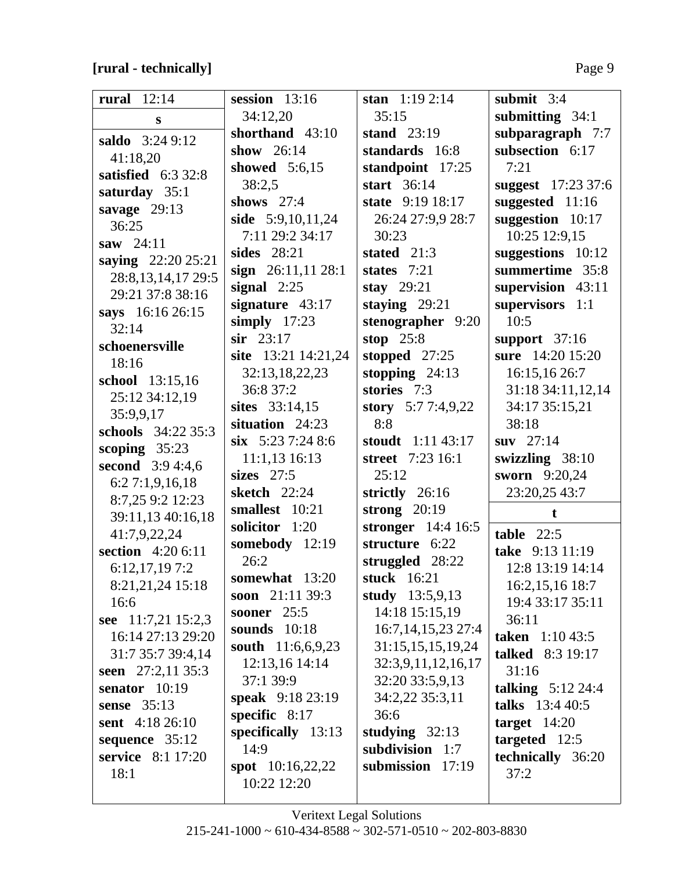# **[rural - technically]** Page 9

| rural $12:14$           | session $13:16$               | stan $1:192:14$        | submit $3:4$            |
|-------------------------|-------------------------------|------------------------|-------------------------|
|                         | 34:12,20                      | 35:15                  | submitting $34:1$       |
| S                       | shorthand 43:10               | stand $23:19$          | subparagraph 7:7        |
| saldo 3:24 9:12         | show $26:14$                  | standards 16:8         | subsection 6:17         |
| 41:18,20                | showed 5:6,15                 | standpoint 17:25       | 7:21                    |
| satisfied $6:332:8$     | 38:2,5                        | start 36:14            | suggest 17:23 37:6      |
| saturday 35:1           | shows $27:4$                  | state 9:19 18:17       | suggested 11:16         |
| savage $29:13$          | side 5:9,10,11,24             | 26:24 27:9,9 28:7      | suggestion $10:17$      |
| 36:25                   | 7:11 29:2 34:17               | 30:23                  | 10:25 12:9,15           |
| saw $24:11$             | sides 28:21                   | stated $21:3$          | suggestions 10:12       |
| saying 22:20 25:21      | sign $26:11,1128:1$           | states $7:21$          | summertime 35:8         |
| 28:8, 13, 14, 17 29:5   |                               |                        |                         |
| 29:21 37:8 38:16        | signal $2:25$                 | stay $29:21$           | supervision 43:11       |
| says 16:16 26:15        | signature $43:17$             | staying $29:21$        | supervisors 1:1         |
| 32:14                   | simply $17:23$<br>$sir$ 23:17 | stenographer 9:20      | 10:5                    |
| schoenersville          |                               | stop $25:8$            | support $37:16$         |
| 18:16                   | site $13:21$ 14:21,24         | stopped 27:25          | sure 14:20 15:20        |
| school 13:15,16         | 32:13,18,22,23                | stopping $24:13$       | 16:15,16 26:7           |
| 25:12 34:12,19          | 36:8 37:2                     | stories 7:3            | 31:18 34:11,12,14       |
| 35:9,9,17               | sites 33:14,15                | story 5:77:4,9,22      | 34:17 35:15,21          |
| schools 34:22 35:3      | situation 24:23               | 8:8                    | 38:18                   |
| scoping $35:23$         | $six$ 5:23 7:24 8:6           | stoudt $1:11\,43:17$   | suv $27:14$             |
| <b>second</b> 3:9 4:4,6 | $11:1,13$ 16:13               | street 7:23 16:1       | swizzling $38:10$       |
| 6:27:1,9,16,18          | sizes $27:5$                  | 25:12                  | sworn 9:20,24           |
| 8:7,25 9:2 12:23        | <b>sketch</b> 22:24           | strictly 26:16         | 23:20,25 43:7           |
| 39:11,13 40:16,18       | smallest 10:21                | strong $20:19$         | $\mathbf{f}$            |
| 41:7,9,22,24            | solicitor 1:20                | stronger 14:4 16:5     | table $22:5$            |
| section 4:20 6:11       | somebody 12:19                | structure 6:22         | take 9:13 11:19         |
| 6:12,17,197:2           | 26:2                          | struggled 28:22        | 12:8 13:19 14:14        |
| 8:21,21,24 15:18        | somewhat 13:20                | <b>stuck</b> 16:21     | 16:2,15,16 18:7         |
| 16:6                    | soon $21:1139:3$              | study $13:5,9,13$      | 19:4 33:17 35:11        |
| see 11:7,21 15:2,3      | <b>sooner</b> 25:5            | 14:18 15:15,19         | 36:11                   |
| 16:14 27:13 29:20       | sounds $10:18$                | 16:7, 14, 15, 23 27: 4 | taken $1:1043:5$        |
| 31:7 35:7 39:4,14       | south 11:6,6,9,23             | 31:15,15,15,19,24      | <b>talked</b> 8:3 19:17 |
| seen $27:2,1135:3$      | 12:13,16 14:14                | 32:3,9,11,12,16,17     | 31:16                   |
| senator $10:19$         | 37:1 39:9                     | 32:20 33:5,9,13        | talking $5:12\,24:4$    |
| sense $35:13$           | speak 9:18 23:19              | 34:2,22 35:3,11        | talks 13:4 40:5         |
| sent 4:18 26:10         | specific $8:17$               | 36:6                   | target $14:20$          |
| sequence 35:12          | specifically 13:13            | studying $32:13$       | targeted $12:5$         |
| service 8:1 17:20       | 14:9                          | subdivision 1:7        | technically 36:20       |
| 18:1                    | <b>spot</b> $10:16,22,22$     | submission 17:19       | 37:2                    |
|                         | 10:22 12:20                   |                        |                         |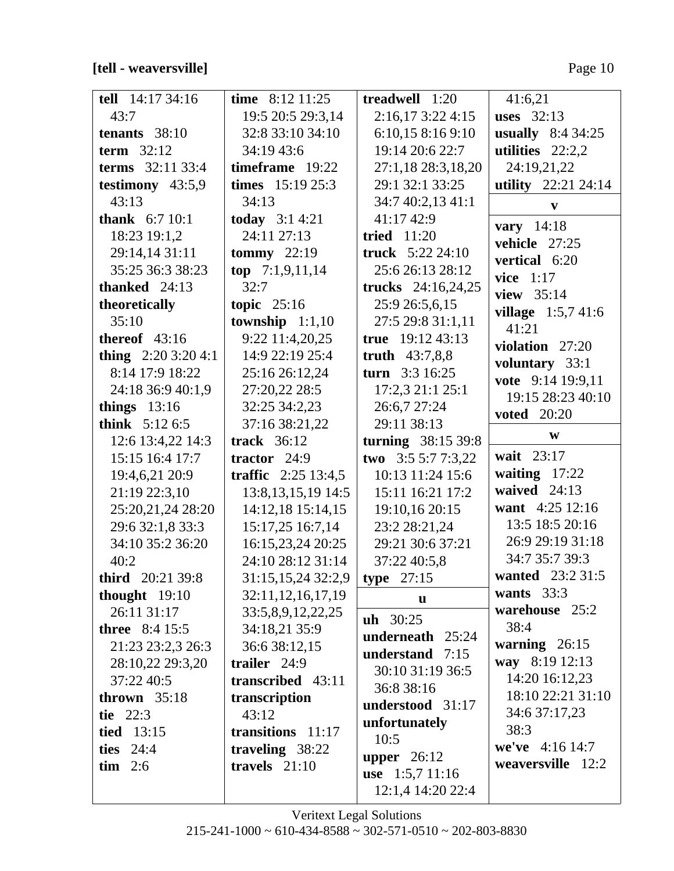**[tell - weaversville]** Page 10

| tell $14:1734:16$      | time $8:12$ 11:25     | treadwell 1:20       | 41:6,21                              |
|------------------------|-----------------------|----------------------|--------------------------------------|
| 43:7                   | 19:5 20:5 29:3,14     | 2:16,173:224:15      | uses $32:13$                         |
| tenants $38:10$        | 32:8 33:10 34:10      | 6:10,15 8:16 9:10    | usually $8:434:25$                   |
| term $32:12$           | 34:19 43:6            | 19:14 20:6 22:7      | utilities $22:2,2$                   |
| terms 32:11 33:4       | timeframe 19:22       | 27:1,18 28:3,18,20   | 24:19,21,22                          |
| testimony $43:5,9$     | times $15:19\,25:3$   | 29:1 32:1 33:25      | utility 22:21 24:14                  |
| 43:13                  | 34:13                 | 34:7 40:2,13 41:1    | V                                    |
| <b>thank</b> $6:710:1$ | today $3:14:21$       | 41:17 42:9           | vary $14:18$                         |
| 18:23 19:1,2           | 24:11 27:13           | tried $11:20$        | vehicle 27:25                        |
| 29:14,14 31:11         | tommy $22:19$         | truck $5:22\,24:10$  | vertical 6:20                        |
| 35:25 36:3 38:23       | top $7:1,9,11,14$     | 25:6 26:13 28:12     | vice $1:17$                          |
| thanked $24:13$        | 32:7                  | trucks $24:16,24,25$ | view $35:14$                         |
| theoretically          | topic $25:16$         | 25:9 26:5,6,15       |                                      |
| 35:10                  | township $1:1,10$     | 27:5 29:8 31:1,11    | <b>village</b> $1:5,7,41:6$<br>41:21 |
| thereof $43:16$        | 9:22 11:4,20,25       | true 19:12 43:13     | violation $27:20$                    |
| thing $2:203:204:1$    | 14:9 22:19 25:4       | truth $43:7,8,8$     |                                      |
| 8:14 17:9 18:22        | 25:16 26:12,24        | turn $3:316:25$      | voluntary 33:1<br>vote 9:14 19:9,11  |
| 24:18 36:9 40:1,9      | 27:20,22 28:5         | 17:2,3 21:1 25:1     | 19:15 28:23 40:10                    |
| things $13:16$         | 32:25 34:2,23         | 26:6,7 27:24         | <b>voted</b> 20:20                   |
| think $5:126:5$        | 37:16 38:21,22        | 29:11 38:13          |                                      |
| 12:6 13:4,22 14:3      | <b>track</b> 36:12    | turning 38:15 39:8   | W                                    |
| 15:15 16:4 17:7        | tractor $24:9$        | two $3:55:77:3,22$   | wait 23:17                           |
| 19:4,6,21 20:9         | traffic $2:25$ 13:4,5 | 10:13 11:24 15:6     | waiting $17:22$                      |
| 21:19 22:3,10          | 13:8, 13, 15, 19 14:5 | 15:11 16:21 17:2     | waived $24:13$                       |
| 25:20,21,24 28:20      | 14:12,18 15:14,15     | 19:10,16 20:15       | want 4:25 12:16                      |
| 29:6 32:1,8 33:3       | 15:17,25 16:7,14      | 23:2 28:21,24        | 13:5 18:5 20:16                      |
| 34:10 35:2 36:20       | 16:15,23,24 20:25     | 29:21 30:6 37:21     | 26:9 29:19 31:18                     |
| 40:2                   | 24:10 28:12 31:14     | 37:22 40:5,8         | 34:7 35:7 39:3                       |
| third 20:21 39:8       | 31:15, 15, 24 32:2, 9 | type $27:15$         | wanted 23:2 31:5                     |
| thought $19:10$        | 32:11, 12, 16, 17, 19 | $\mathbf{u}$         | wants $33:3$                         |
| 26:11 31:17            | 33:5,8,9,12,22,25     | uh 30:25             | warehouse 25:2                       |
| <b>three</b> 8:4 15:5  | 34:18,21 35:9         | underneath 25:24     | 38:4                                 |
| 21:23 23:2,3 26:3      | 36:6 38:12,15         | understand $7:15$    | warning $26:15$                      |
| 28:10,22 29:3,20       | trailer $24:9$        | 30:10 31:19 36:5     | way 8:19 12:13                       |
| 37:22 40:5             | transcribed 43:11     | 36:8 38:16           | 14:20 16:12,23                       |
| thrown $35:18$         | transcription         | understood 31:17     | 18:10 22:21 31:10                    |
| tie $22:3$             | 43:12                 | unfortunately        | 34:6 37:17,23                        |
| <b>tied</b> 13:15      | transitions 11:17     | 10:5                 | 38:3                                 |
| ties 24:4              | traveling 38:22       | upper $26:12$        | we've $4:16\,14:7$                   |
| $\lim$ 2:6             | travels $21:10$       | use $1:5,711:16$     | weaversville 12:2                    |
|                        |                       |                      |                                      |
|                        |                       | 12:1,4 14:20 22:4    |                                      |